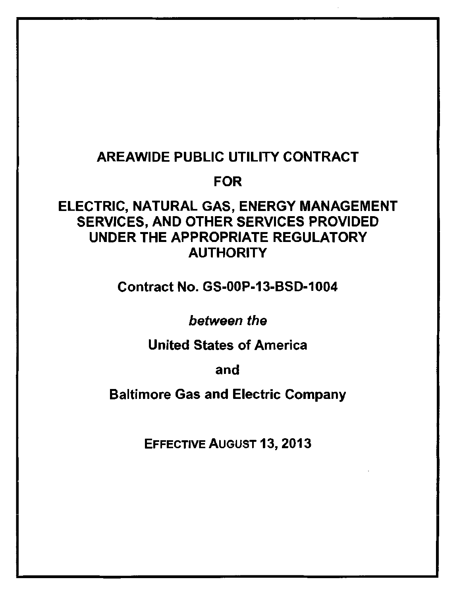# AREAWIDE PUBLIC UTILITY CONTRACT

# FOR

# ELECTRIC, NATURAL GAS, ENERGY MANAGEMENT SERVICES, AND OTHER SERVICES PROVIDED UNDER THE APPROPRIATE REGULATORY **AUTHORITY**

Contract No. GS-OOP-13-BSD-1004

between the

United States of America

and

Baltimore Gas and Electric Company

EFFECTIVE AUGUST 13,2013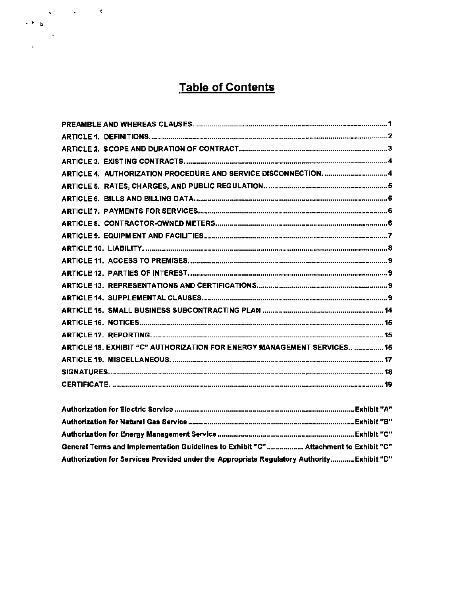# **Table of Contents**

 $\begin{array}{ccccc} &\ddots &\ddots &\ddots &\ddots &\ddots &\ddots\\ &\ddots&\ddots&\ddots&\ddots&\ddots&\ddots\\ &\ddots&\ddots&\ddots&\ddots&\ddots&\ddots\\ &\ddots&\ddots&\ddots&\ddots&\ddots&\ddots\\ &\ddots&\ddots&\ddots&\ddots&\ddots&\ddots&\ddots\\ \end{array}$ 

| ARTICLE 4. AUTHORIZATION PROCEDURE AND SERVICE DISCONNECTION.  4         |
|--------------------------------------------------------------------------|
|                                                                          |
|                                                                          |
|                                                                          |
|                                                                          |
|                                                                          |
|                                                                          |
|                                                                          |
|                                                                          |
|                                                                          |
|                                                                          |
|                                                                          |
|                                                                          |
|                                                                          |
| ARTICLE 18. EXHIBIT "C" AUTHORIZATION FOR ENERGY MANAGEMENT SERVICES  15 |
|                                                                          |
|                                                                          |
|                                                                          |

| "General Terms and Implementation Guidelines to Exhibit "C" Attachment to Exhibit "C       |  |
|--------------------------------------------------------------------------------------------|--|
| "Authorization for Services Provided under the Appropriate Regulatory Authority Exhibit "D |  |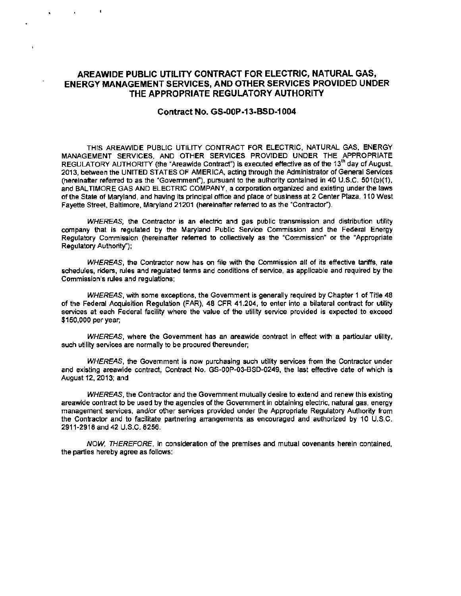# **AREAWIDE PUBLIC UTILITY CONTRACT FOR ELECTRIC, NATURAL GAS, ENERGY MANAGEMENT SERVICES, AND OTHER SERVICES PROVIDED UNDER THE APPROPRIATE REGULATORY AUTHORITY**

. .

×

### **Contract No. GS-OOP-13-BSD-1004**

THIS AREAWIDE PUBLIC UTILITY CONTRACT FOR ELECTRIC, NATURAL GAS, ENERGY MANAGEMENT SERVICES, AND OTHER SERVICES PROVIDED UNDER THE APPROPRIATE REGULATORY AUTHORITY (the "Areawide Contract") is executed effective as of the 13<sup>th</sup> day of August, 2013, between the UNITED STATES OF AMERICA, acting through the Administrator of General Services (hereinafter referred to as the "Government"), pursuant to the authority contained in 40 U.S.C. 501(b)(1), and BALTIMORE GAS AND ELECTRIC COMPANY, a corporation organized and existing under the laws of the State of Maryland, and having its principal office and place of business at 2 Center Plaza, 110 West Fayette Street, Baltimore, Maryland 21201 (hereinafter referred to as the "Contractor").

WHEREAS, the Contractor is an electric and gas public transmission and distribution utility company that is regulated by the Maryland Public Service Commission and the Federal Energy Regulatory Commission (hereinafter referred to collectively as the "Commission" or the "Appropriate Regulatory Authority");

WHEREAS, the Contractor now has on file with the Commission all of its effective tariffs, rate schedules, riders, rules and regulated terms and conditions of service, as applicable and required by the Commission's rules and regulations;

WHEREAS, with some exceptions, the Government is generally required by Chapter 1 of Title 48 of the Federal Acquisition Regulation (FAR), 48 CFR 41.204, to enter into a bilateral contract for utility services at each Federal facility where the value of the utility service provided is expected to exceed \$150,000 per year;

WHEREAS, where the Government has an areawide contract in effect with a particular utility, such utility services are normally to be procured thereunder;

WHEREAS, the Government is now purchasing such utility services from the Contractor under and existing areawide contract, Contract No. GS-OOP-03-BSD-0249, the last effective date of which is August12,2013;and

WHEREAS, the Contractor and the Government mutually desire to extend and renew this existing areawide contract to be used by the agencies of the Government in obtaining electric, natural gas, energy management services, and/or other services provided under the Appropriate Regulatory Authority from the Contractor and to facilitate partnering arrangements as encouraged and authorized by 10 U.S.C. 2911-2918 and 42 U.S.C. 8256.

NOW, THEREFORE, in consideration of the premises and mutual covenants herein contained, the parties hereby agree as follows: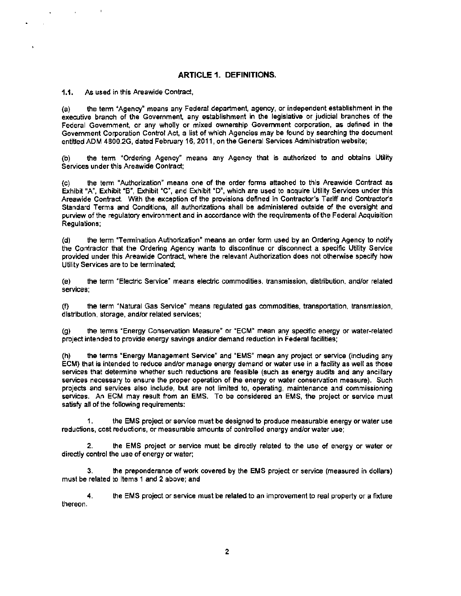## **ARTICLE 1. DEFINITIONS.**

1.1. As used in this Areawide Contract,

 $\sim 10^{-11}$ 

(a) the term "Agency" means any Federal department, agency, or independent establishment in the executive branch of the Government, any establishment in the legislative or judicial branches of the Federal Government, or any wholly or mixed ownership Government corporation, as defined in the Government Corporation Control Act, a list of which Agencies may be found by searching the document entitled ADM 4800.2G, dated February 16, 2011, on the General Services Administration website;

(b) the term "Ordering Agency" means any Agency that is authorized to and obtains Utility Services under this Areawide Contract:

(c) the term "Authorization" means one of the order forms attached to this Areawide Contract as Exhibit "A", Exhibit "B", Exhibit "C", and Exhibit "D", which are used to acquire Utility Services under this Areawide Contract. With the exception of the provisions defined in Contractor's Tariff and Contractor's Standard Terms and Conditions, all authorizations shall be administered outside of the oversight and purview of the regulatory environment and in accordance with the requirements of the Federal Acquisition Regulations;

(d) the term "Termination Authorization" means an order form used by an Ordering Agency to notify the Contractor that the Ordering Agency wants to discontinue or disconnect a specific Utility Service provided under this Areawide Contract. where the relevant Authorization does not otherwise specify how Utility Services are to be terminated;

(e) the term "Electric Service" means electric commodities, transmission, distribution, and/or related services;

(f) the term "Natural Gas Service" means regulated gas commodities, transportation, transmission, distribution, storage, and/or related services;

(g) the terms "Energy Conservation Measure" or "ECM" mean any specific energy or water-related project intended to provide energy savings and/or demand reduction in Federal facilities;

(h) the terms "Energy Management Service" and •EMS" mean any project or service (including any ECM) that is intended to reduce and/or manage energy demand or water use in a facility as well as those services that determine whether such reductions are feasible (such as energy audits and any ancillary services necessary to ensure the proper operation of the energy or water conservation measure). Such projects and services also include, but are not limited to, operating, maintenance and commissioning services. An ECM may result from an EMS. To be considered an EMS, the project or service must satisfy all of the following requirements:

1. the EMS project or service must be designed to produce measurable energy or water use reductions, cost reductions, or measurable amounts of controlled energy and/or water use;

2. the EMS project or service must be directly related to the use of energy or water or directly control the use of energy or water:

3. the preponderance of work covered by the EMS project or service (measured in dollars) must be related to Items 1 and 2 above; and

4. the EMS project or service must be related to an improvement to real property or a fixture thereon.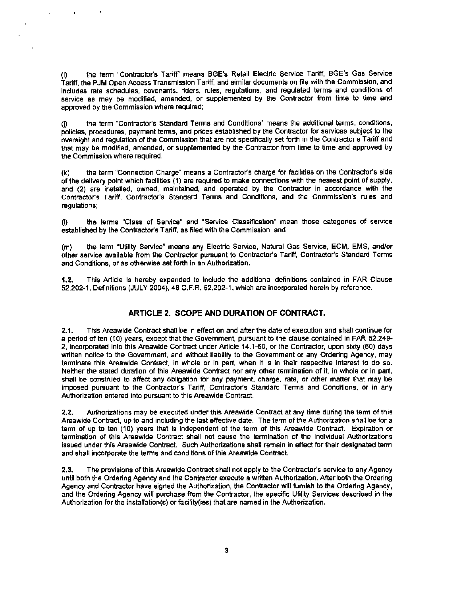(i) the term "Contractor's Tariff" means BGE's Retail Electric Service Tariff, BGE's Gas Service Tariff, the PJM Open Access Transmission Tariff, and similar documents on file with the Commission, and includes rate schedules, covenants, riders, rules, regulations, and regulated terms and conditions of service as may be modified, amended, or supplemented by the Contractor from time to time and approved by the Commission where required;

L.

(j) the term "Contractor's Standard Terms and Conditions" means the additional terms, conditions, policies, procedures, payment terms, and prices established by the Contractor for services subject to the oversight and regulation of the Commission that are not specifically set forth in the Contractor's Tariff and that may be modified, amended, or supplemented by the Contractor from time to time and approved by the Commission where required.

(k) the term "Connection Charge" means a Contractor's charge for facilities on the Contractor's side of the delivery point which facilities ( 1) are required to make connections with the nearest point of supply, and (2) are installed, owned, maintained, and operated by the Contractor in accordance with the Contractor's Tariff, Contractor's Standard Terms and Conditions, and the Commission's rules and regulations:

(I) the terms "Class of Service" and "Service Classification" mean those categories of service established by the Contractor's Tariff, as filed with the Commission; and

(m) the term "Utility Service" means any Electric Service, Natural Gas Service, ECM, EMS, and/or other service available from the Contractor pursuant to Contractor's Tariff, Contractor's Standard Terms and Conditions, or as otherwise set forth in an Authorization.

1.2. This Article is hereby expanded to include the additional definitions contained in FAR Clause 52.202-1, Definitions (JULY 2004), 48 C.F.R. 52.202-1, which are incorporated herein by reference.

## **ARTICLE 2. SCOPE AND DURATION OF CONTRACT.**

2.1. This Areawide Contract shall be in effect on and after the date of execution and shall continue for a period of ten (10) years, except that the Government. pursuant to the clause contained in FAR 52.249 2, incorporated into this Areawide Contract under Article 14.1-60, or the Contractor, upon sixty (60) days written notice to the Government. and without liability to the Government or any Ordering Agency, may terminate this Areawide Contract, in whole or in part, when it is in their respective interest to do so. Neither the stated duration of this Areawide Contract nor any other termination of it, in whole or in part, shall be construed to affect any obligation for any payment, charge, rate, or other matter that may be imposed pursuant to the Contractor's Tariff, Contractor's Standard Terms and Conditions, or in any Authorization entered into pursuant to this Areawide Contract.

2.2. Authorizations may be executed under this Areawide Contract at any time during the term of this Areawide Contract, up to and including the last effective date. The term of the Authorization shall be for a term of up to ten (10) years that is independent of the term of this Areawide Contract. Expiration or termination of this Areawide Contract shall not cause the termination of the individual Authorizations issued under this Areawide Contract. Such Authorizations shall remain in effect for their designated term and shall incorporate the terms and conditions of this Areawide Contract.

2.3. The provisions of this Areawide Contract shall not apply to the Contractor's service to any Agency until both the Ordering Agency and the Contractor execute a written Authorization. After both the Ordering Agency and Contractor have signed the Authorization, the Contractor will furnish to the Ordering Agency, and the Ordering Agency will purchase from the Contractor, the specific Utility Services described in the Authorization for the installation(s) or facility(ies) that are named in the Authorization.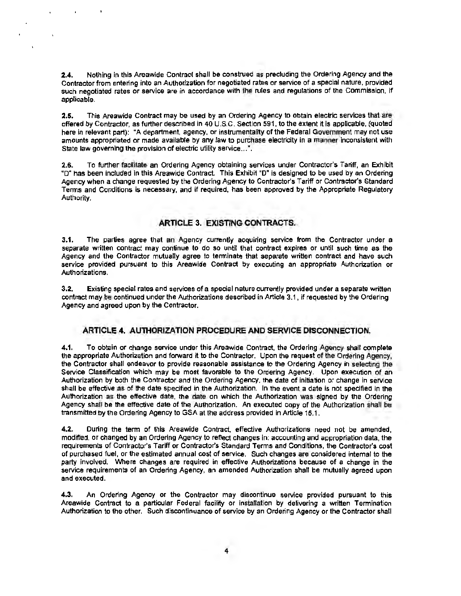2.4. Nothing in this Areawide Contract shall be construed as precluding the Ordering Agency and the Contractor from entering into an Authorization for negotiated rates or service of a special nature, provided such negotiated rates or service are in accordance with the rules and regulations of the Commission, if applicable.

2.5. This Areawide Contract may be used by an Ordering Agency to obtain electric services that are offered by Contractor, as further described in 40 U.S.C. Section 591, to the extent it is applicable, (quoted here in relevant part): "A department, agency, or instrumentality of the Federal Government may not use amounts appropriated or made available by any law to purchase electricity in a manner inconsistent with State law governing the provision of electric utility service...".

2.6. To further facilitate an Ordering Agency obtaining services under Contractor's Tariff, an Exhibit •o· has been included in this Areawide Contract. This Exhibit "D" is designed to be used by an Ordering Agency when a change requested by the Ordering Agency to Contractor's Tariff or Contractor's Standard Terms and Conditions is necessary, and if required, has been approved by the Appropriate Regulatory Authority.

# ARTICLE 3. EXISTING CONTRACTS.

3.1. The parties agree that an Agency currently acquiring service from the Contractor under a separate written contract may continue to do so until that contract expires or until such time as the Agency and the Contractor mutually agree to terminate that separate written contract and have such service provided pursuant to this Areawide Contract by executing an appropriate Authorization or Authorizations.

3.2. Existing special rates and services of a special nature currently provided under a separate written contract may be continued under the Authorizations described in Article 3.1, if requested by the Ordering Agency and agreed upon by the Contractor.

# ARTICLE 4. AUTHORIZATION PROCEDURE AND SERVICE DISCONNECTION.

4.1. To obtain or change service under this Areawide Contract, the Ordering Agency shall complete the appropriate Authorization and forward it to the Contractor. Upon the request of the Ordering Agency, the Contractor shall endeavor to provide reasonable assistance to the Ordering Agency in selecting the Service Classification which may be most favorable to the Ordering Agency. Upon execution of an Authorization by both the Contractor and the Ordering Agency, the date of initiation or change in service shall be effective as of the date specified in the Authorization. In the event a date is not specified in the Authorization as the effective date, the date on which the Authorization was signed by the Ordering Agency shall be the effective date of the Authorization. An executed copy of the Authorization shall be transmitted by the Ordering Agency to GSA at the address provided in Article 16.1.

4.2. During the term of this Areawide Contract, effective Authorizations need not be amended, modified, or changed by an Ordering Agency to reflect changes in: accounting and appropriation data, the requirements of Contractor's Tariff or Contractor's Standard Terms and Conditions, the Contractor's cost of purchased fuel, or the estimated annual cost of service. Such changes are considered internal to the party involved. Where changes are required in effective Authorizations because of a change in the service requirements of an Ordering Agency, an amended Authorization shall be mutually agreed upon and executed.

4.3. An Ordering Agency or the Contractor may discontinue service provided pursuant to this Areawide Contract to a particular Federal facility or installation by delivering a written Termination Authorization to the other. Such discontinuance of service by an Ordering Agency or the Contractor shall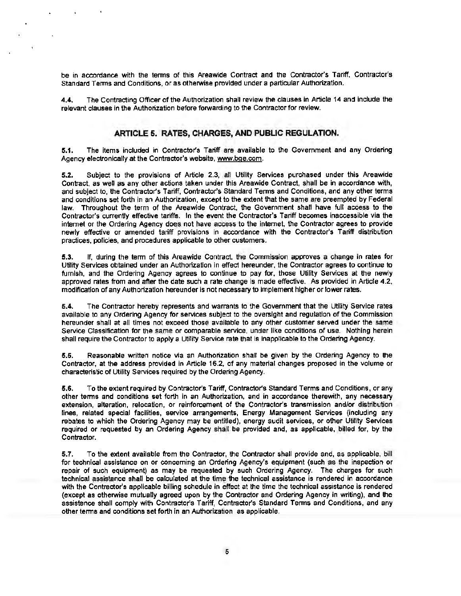be in accordance with the terms of this Areawide Contract and the Contractor's Tariff. Contractor's Standard Terms and Conditions, or as otherwise provided under a particular Authorization.

4.4. The Contracting Officer of the Authorization shall review the clauses in Article 14 and include the relevant clauses in the Authorization before forwarding to the Contractor for review.

### **ARTICLE 5. RATES, CHARGES, AND PUBLIC REGULATION.**

5.1. The items included in Contractor's Tariff are available to the Government and any Ordering Agency electronically at the Contractor's website, www.bge.com.

5.2. Subject to the provisions of Article 2.3, all Utility Services purchased under this Areawide Contract. as well as any other actions taken under this Areawide Contract, shall be in accordance with, and subject to, the Contractor's Tariff. Contractor's Standard Terms and Conditions, and any other terms and conditions set forth in an Authorization, except to the extent that the same are preempted by Federal law. Throughout the term of the Areawide Contract. the Government shall have full access to the Contractor's currently effective tariffs. In the event the Contractor's Tariff becomes inaccessible via the internet or the Ordering Agency does not have access to the internet, the Contractor agrees to provide newly effective or amended tariff provisions in accordance with the Contractor's Tariff distribution practices, policies, and procedures applicable to other customers.

5.3. If, during the term of this Areawide Contract, the Commission approves a change in rates for Utility Services obtained under an Authorization in effect hereunder, the Contractor agrees to continue to furnish, and the Ordering Agency agrees to continue to pay for, those Utility Services at the newly approved rates from and after the date such a rate change is made effective. As provided in Article 4.2, modification ofany Authorization hereunder is not necessary to implement higher or lower rates.

5.4. The Contractor hereby represents and warrants to the Government that the Utility Service rates available to any Ordering Agency for services subject to the oversight and regulation of the Commission hereunder shall at all times not exceed those available to any other customer served under the same Service Classification for the same or comparable service, under like conditions of use. Nothing herein shall require the Contractor to apply a Utility Service rate that is inapplicable to the Ordering Agency.

5.5. Reasonable written notice via an Authorization shall be given by the Ordering Agency to the Contractor, at the address provided in Article 16.2, of any material changes proposed in the volume or characteristic of Utility Services required by the Ordering Agency.

5.6. To the extent required by Contractor's Tariff, Contractor's Standard Terms and Conditions, or any other terms and conditions set forth in an Authorization, and in accordance therewith, any necessary extension, alteration, relocation, or reinforcement of the Contractor's transmission and/or distribution lines, related special facilities, service arrangements, Energy Management Services (including any rebates to which the Ordering Agency may be entitled), energy audit services, or other Utility Services required or requested by an Ordering Agency shall be provided and, as applicable, billed for, by the Contractor.

5.7. To the extent available from the Contractor, the Contractor shall provide and, as applicable, bill for technical assistance on or concerning an Ordering Agency's equipment (such as the inspection or repair of such equipment) as may be requested by such Ordering Agency. The charges for such technical assistance shall be calculated at the time the technical assistance is rendered in accordance with the Contractor's applicable billing schedule in effect at the time the technical assistance is rendered (except as otherwise mutually agreed upon by the Contractor and Ordering Agency in writing), and the assistance shall comply with Contractor's Tariff, Contractor's Standard Terms and Conditions, and any other terms and conditions set forth in an Authorization, as applicable.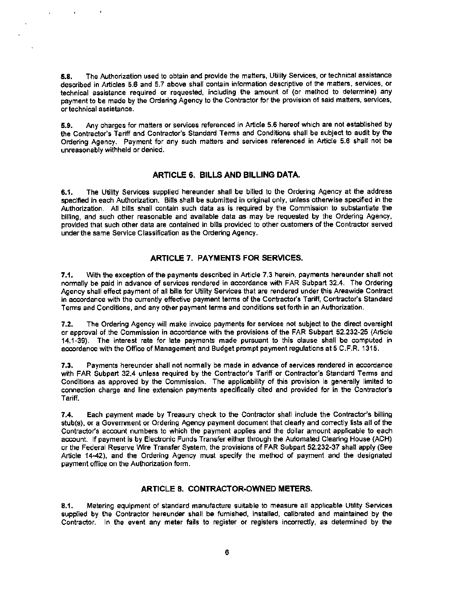5.8. The Authorization used to obtain and provide the matters, Utility Services, or technical assistance described in Articles 5.6 and 5.7 above shall contain information descriptive of the matters. services, or technical assistance required or requested, including the amount of (or method to determine) any payment to be made by the Ordering Agency to the Contractor for the provision of said matters, services, or technical assistance.

5.9. Any charges for matters or services referenced in Article 5.6 hereof which are not established by the Contractor's Tariff and Contractor's Standard Terms and Conditions shall be subject to audit by the Ordering Agency. Payment for any such matters and services referenced in Article 5.6 shall not be unreasonably withheld or denied.

#### **ARTICLE 6. BILLS AND BILLING DATA.**

**6.1.** The Utility Services supplied hereunder shall be billed to the Ordering Agency at the address specified in each Authorization. Bills shall be submitted in original only, unless otherwise specified in the Authorization. All bills shall contain such data as is required by the Commission to substantiate the billing, and such other reasonable and available data as may be requested by the Ordering Agency, provided that such other data are contained in bills provided to other customers of the Contractor served under the same Service Classification as the Ordering Agency.

### **ARTICLE 7. PAYMENTS FOR SERVICES.**

**7.1.** With the exception of the payments described in Article 7.3 herein, payments hereunder shall not normally be paid in advance of services rendered in accordance with FAR Subpart 32.4. The Ordering Agency shall effect payment of all bills for Utility Services that are rendered under this Areawide Contract in accordance with the currently effective payment terms of the Contractor's Tariff, Contractor's Standard Terms and Conditions, and any other payment terms and conditions set forth in an Authorization.

7 .2. The Ordering Agency will make invoice payments for services not subject to the direct oversight or approval of the Commission in accordance with the provisions of the FAR Subpart 52.232-25 (Article 14.1-39). The interest rate for late payments made pursuant to this clause shall be computed in accordance with the Office of Management and Budget prompt payment regulations at 5 C.F.R. 1315.

7.3. Payments hereunder shall not normally be made in advance of services rendered in accordance with FAR Subpart 32.4 unless required by the Contractor's Tariff or Contractor's Standard Terms and Conditions as approved by the Commission. The applicability of this provision is generally limited to connection charge and line extension payments specifically cited and provided for in the Contractor's Tariff.

7.4. Each payment made by Treasury check to the Contractor shall include the Contractor's billing stub(s). or a Government or Ordering Agency payment document that clearty and correctly lists all of the Contractor's account numbers to which the payment applies and the dollar amount applicable to each account. If payment is by Electronic Funds Transfer either through the Automated Clearing House (ACH) or the Federal Reserve Wire Transfer System, the provisions of FAR Subpart 52.232-37 shall apply (See Article 14-42), and the Ordering Agency must specify the method of payment and the designated payment office on the Authorization form.

### **ARTICLE 8. CONTRACTOR-OWNED METERS.**

**8.1.** Metering equipment of standard manufacture suitable to measure all applicable Utility Services supplied by the Contractor hereunder shall be furnished, installed, calibrated and maintained by the Contractor. In the event any meter fails to register or registers incorrectly, as determined by the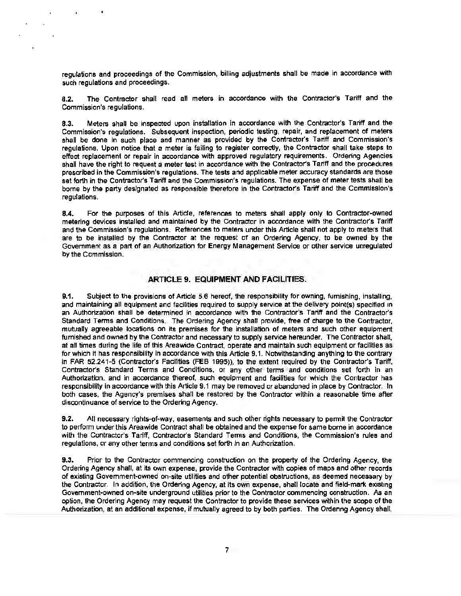regulations and proceedings of the Commission, billing adjustments shall be made in accordance with such regulations and proceedings.

8.2. The Contractor shall read all meters in accordance with the Contractor's Tariff and the Commission's regulations.

8.3. Meters shall be inspected upon installation in accordance with the Contractor's Tariff and the Commission's regulations. Subsequent inspection, periodic testing, repair, and replacement of meters shall be done in such place and manner as provided by the Contractor's Tariff and Commission's regulations. Upon notice that a meter is failing to register correctly, the Contractor shall take steps to effect replacement or repair in accordance with approved regulatory requirements. Ordering Agencies shall have the right to request a meter test in accordance with the Contractor's Tariff and the procedures prescribed in the Commission's regulations. The tests and applicable meter accuracy standards are those set forth in the Contractor's Tariff and the Commission's regulations. The expense of meter tests shall be bome by the party designated as responsible therefore in the Contractor's Tariff and the Commission's regulations.

8.4. For the purposes of this Article, references to meters shall apply only to Contractor·owned metering devices installed and maintained by the Contractor in accordance with the Contractor's Tariff and the Commission's regulations. References to meters under this Article shall not apply to meters that are to be installed by the Contractor at the request of an Ordering Agency, to be owned by the Government as a part of an Authorization for Energy Management Service or other service unregulated by the Commission.

#### ARTICLE 9. EQUIPMENT AND FACILITIES.

9.1. Subject to the provisions of Article 5.6 hereof, the responsibility for owning, furnishing, installing, and maintaining all equipment and facilities required to supply service at the delivery point(s) specified in an Authorization shall be determined in accordance with the Contractor's Tariff and the Contractor's Standard Terms and Conditions. The Ordering Agency shall provide, free of charge to the Contractor, mutually agreeable locations on its premises for the installation of meters and such other equipment furnished and owned by the Contractor and necessary to supply service hereunder. The Contractor shall, at all times during the life of this Areawide Contract, operate and maintain such equipment or facilities as for which It has responsibility in accordance with this Article 9.1. Notwithstanding anything to the contrary in FAR 52.241-5 (Contractor's Facilities (FEB 1995)), to the extent required by the Contractor's Tariff, Contractor's Standard Terms and Conditions, or any other terms and conditions set forth in an Authorization, and in accordance thereof, such equipment and facilities for which the Contractor has responsibility in accordance with this Article 9.1 may be removed or abandoned in place by Contractor. In both cases, the Agency's premises shall be restored by the Contractor within a reasonable time after discontinuance of service to the Ordering Agency.

9.2. All necessary rights-of-way, easements and such other rights necessary to permit the Contractor to perform under this Areawide Contract shall be obtained and the expense for same bome in accordance with the Contractor's Tariff, Contractor's Standard Terms and Conditions, the Commission's rules and regulations, or any other terms and conditions set forth in an Authorization.

9.3. Prior to the Contractor commencing construction on the property of the Ordering Agency, the Ordering Agency shall, at its own expense, provide the Contractor with copies of maps and other records of existing Govemment·owned on-site utilities and other potential obstructions, as deemed necessary by the Contractor. In addition, the Ordering Agency, at its own expense, shall locate and field-mark existing Govemment·owned on-site underground utilities prior to the Contractor commencing construction. As an option, the Ordering Agency may request the Contractor to provide these services within the scope of the Authorization, at an additional expense, if mutually agreed to by both parties. The Ordering Agency shall,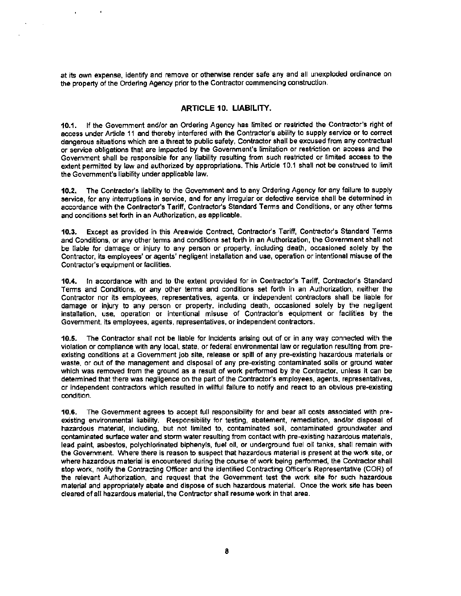at its own expense, identify and remove or otherwise render safe any and all unexploded ordinance on the property of the Ordering Agency prior to the Contractor commencing construction.

## ARTICLE 10. LIABILITY.

10.1. If the Government and/or an Ordering Agency has limited or restricted the Contractor's right of access under Article 11 and thereby interfered with the Contractor's ability to supply service or to correct dangerous situations which are a threat to public safety, Contractor shall be excused from any contractual or service obligations that are impacted by the Government's limitation or restriction on access and the Government shall be responsible for any liability resulting from such restricted or limited access to the extent permitted by law and authorized by appropriations. This Article 10.1 shall not be construed to limit the Government's liability under applicable law.

10.2. The Contractor's liability to the Government and to any Ordering Agency for any failure to supply service, for any interruptions in service, and for any irregular or detective service shall be determined in accordance with the Contractor's Tariff, Contractor's Standard Terms and Conditions, or any other terms and conditions set forth in an Authorization, as applicable.

10.3. Except as provided in this Areawide Contract, Contractor's Tariff, Contractor's Standard Terms and Conditions, or any other terms and conditions set forth in an Authorization, the Government shall not be liable for damage or injury to any person or property, including death, occasioned solely by the Contractor, its employees' or agents' negligent installation and use, operation or intentional misuse of the Contractor's equipment or facilities.

10.4. In accordance with and to the extent provided for in Contractor's Tariff, Contractor's Standard Terms and Conditions, or any other terms and conditions set forth in an Authorization, neither the Contractor nor its employees, representatives, agents, or independent contractors shall be liable for damage or injury to any person or property, including death, occasioned solely by the negligent installation, use, operation or intentional misuse of Contractor's equipment or facilities by the Government. its employees, agents, representatives, or independent contractors.

10.5. The Contractor shall not be liable for incidents arising out of or in any way connected with the violation or compliance with any local, state. or federal environmental law or regulation resulting from pre· existing conditions at a Government job site, release or spill of any pre-existing hazardous materials or waste, or out of the management and disposal of any pre-existing contaminated soils or ground water which was removed from the ground as a result of work performed by the Contractor, unless it can be determined that there was negligence on the part of the Contractor's employees, agents. representatives, or independent contractors which resulted in willful failure to notify and react to an obvious pre-existing condition.

10.6. The Government agrees to accept full responsibility for and bear all costs associated with pre· existing environmental liability. Responsibility for testing, abatement, remediation, and/or disposal of hazardous material, including, but not limited to, contaminated soil, contaminated groundwater and contaminated surface water and storm water resulting from contact with pre-existing hazardous materials, lead paint, asbestos, polychlorinated biphenyls, fuel oil, or underground fuel oil tanks, shall remain with the Government. Where there is reason to suspect that hazardous material is present at the work site, or where hazardous material is encountered during the course of work being performed, the Contractor shall stop work, notify the Contracting Officer and the identified Contracting Officer's Representative (COR) of the relevant Authorization, and request that the Government test the work site for such hazardous material and appropriately abate and dispose of such hazardous material. Once the work site has been cleared ofall hazardous material, the Contractor shall resume wort< in that area.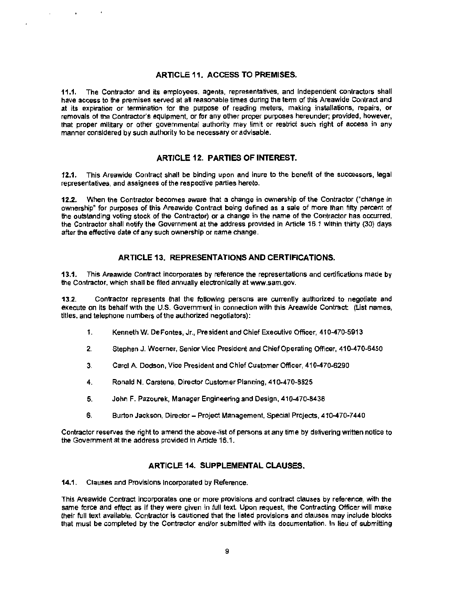## ARTICLE 11. ACCESS TO PREMISES.

11.1. The Contractor and its employees, agents, representatives, and independent contractors shall have access to the premises served at all reasonable times during the term of this Areawide Contract and at its expiration or termination for the purpose of reading meters, making installations, repairs, or removals of the Contractor's equipment, or for any other proper purposes hereunder; provided, however, that proper military or other governmental authority may limit or restrict such right of access in any manner considered by such authority to be necessary or advisable.

### ARTICLE 12. PARTIES OF INTEREST.

12.1. This Areawide Contract shall be binding upon and inure to the benefit of the successors, legal representatives, and assignees of the respective parties hereto.

12.2. When the Contractor becomes aware that a change in ownership of the Contractor ("change in ownership" for purposes of this Areawide Contract being defined as a sale of more than fifty percent of the outstanding voting stock of the Contractor) or a change in the name of the Contractor has occurred, the Contractor shall notify the Government at the address provided in Article 16.1 within thirty (30) days after the effective date of any such ownership or name change.

### ARTICLE 13. REPRESENTATIONS AND CERTIFICATIONS.

13.1. This Areawide Contract incorporates by reference the representations and certifications made by the Contractor, which shall be filed annually electronically at www.sam.gov.

13.2. Contractor represents that the following persons are currently authorized to negotiate and execute on its behalf with the U.S. Government in connection with this Areawide Contract: (List names, titles, and telephone numbers of the authorized negotiators):

- 1. Kenneth W. DeFontes, Jr., President and Chief Executive Officer, 410-470-5913
- 2. Stephen J. Woerner, Senior Vice President and Chief Operating Officer, 410-470-6450
- 3. Carol A Dodson, Vice President and Chief Customer Officer, 410-470-6290
- 4. Ronald N. Carstens, Director Customer Planning, 410-470-8825
- 5. John F. Pazourek, Manager Engineering and Design, 410-470-8438
- 6. Burton Jackson. Director- Project Management, Special Projects, 410-470-7440

Contractor reserves the right to amend the above-list of persons at any time by delivering written notice to the Govemment at the address provided in Article 16.1.

## ARTICLE 14. SUPPLEMENTAL CLAUSES.

14.1. Clauses and Provisions Incorporated by Reference.

This Areawide Contract incorporates one or more provisions and contract clauses by reference, with the same force and effect as if they were given in full text. Upon request, the Contracting Officer will make their full text available. Contractor is cautioned that the listed provisions and clauses may include blocks that must be completed by the Contractor and/or submitted with its documentation. In lieu of submitting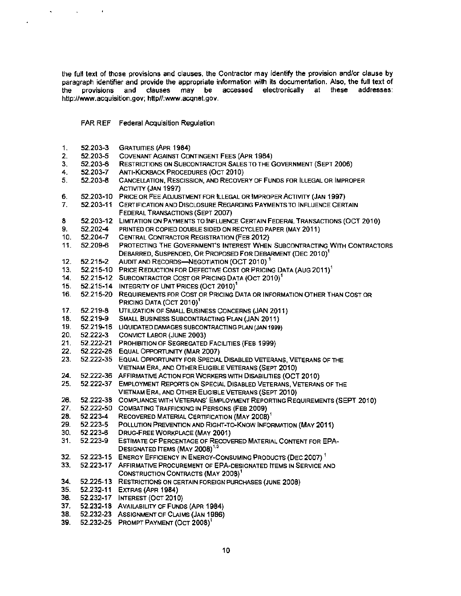the full text of those provisions and clauses. the Contractor may identify the provision and/or clause by paragraph identifier and provide the appropriate information with its documentation. Also, the full text of the provisions and clauses may be accessed electronically at these addresses: http://www.acquisition.gov; http//:www.acqnet.gov.

FAR REF Federal Acquisition Regulation

 $\mathbf{r}$ 

 $\sim 10^{-11}$ 

 $\hat{\mathbf{v}}$ 

 $\ddot{\phantom{0}}$ 

| 1.  | 52.203-3  | <b>GRATUITIES (APR 1984)</b>                                                                                |
|-----|-----------|-------------------------------------------------------------------------------------------------------------|
| 2.  | 52.203-5  | <b>COVENANT AGAINST CONTINGENT FEES (APR 1984)</b>                                                          |
| 3.  | 52.203-6  | RESTRICTIONS ON SUBCONTRACTOR SALES TO THE GOVERNMENT (SEPT 2006)                                           |
| 4.  | 52.203-7  | ANTI-KICKBACK PROCEDURES (OCT 2010)                                                                         |
| 5.  | 52.203-8  | CANCELLATION, RESCISSION, AND RECOVERY OF FUNDS FOR ILLEGAL OR IMPROPER<br>ACTIVITY (JAN 1997)              |
| 6.  | 52.203-10 | PRICE OR FEE ADJUSTMENT FOR ILLEGAL OR IMPROPER ACTIVITY (JAN 1997)                                         |
| 7.  | 52.203-11 | CERTIFICATION AND DISCLOSURE REGARDING PAYMENTS TO INFLUENCE CERTAIN                                        |
|     |           | FEDERAL TRANSACTIONS (SEPT 2007)                                                                            |
| 8   | 52.203-12 | LIMITATION ON PAYMENTS TO INFLUENCE CERTAIN FEDERAL TRANSACTIONS (OCT 2010)                                 |
| 9.  | 52.202-4  | PRINTED OR COPIED DOUBLE SIDED ON RECYCLED PAPER (MAY 2011).                                                |
| 10. | 52.204-7  | CENTRAL CONTRACTOR REGISTRATION (FEB 2012)                                                                  |
| 11. | 52.209-6  | PROTECTING THE GOVERNMENT'S INTEREST WHEN SUBCONTRACTING WITH CONTRACTORS                                   |
|     |           | DEBARRED, SUSPENDED, OR PROPOSED FOR DEBARMENT (DEC 2010) <sup>1</sup>                                      |
| 12. | 52.215-2  | AUDIT AND RECORDS-NEGOTIATION (OCT 2010) <sup>1</sup>                                                       |
| 13. |           | 52.215-10 PRICE REDUCTION FOR DEFECTIVE COST OR PRICING DATA (AUG 2011) <sup>1</sup>                        |
| 14. | 52.215-12 | SUBCONTRACTOR COST OR PRICING DATA (OCT 2010) <sup>1</sup>                                                  |
| 15. |           | 52.215-14 INTEGRITY OF UNIT PRICES (OCT 2010) <sup>1</sup>                                                  |
| 16. | 52.215-20 | REQUIREMENTS FOR COST OR PRICING DATA OR INFORMATION OTHER THAN COST OR                                     |
|     |           | PRICING DATA (OCT 2010) <sup>1</sup>                                                                        |
| 17. | 52.219-8  | UTILIZATION OF SMALL BUSINESS CONCERNS (JAN 2011)                                                           |
| 18. | 52.219-9  | <b>SMALL BUSINESS SUBCONTRACTING PLAN (JAN 2011)</b>                                                        |
| 19. | 52.219-16 | LIQUIDATED DAMAGES SUBCONTRACTING PLAN (JAN 1999)                                                           |
| 20. | 52.222-3  | CONVICT LABOR (JUNE 2003)                                                                                   |
| 21. | 52.222-21 | PROHIBITION OF SEGREGATED FACILITIES (FEB 1999)                                                             |
| 22. | 52.222-26 | EQUAL OPPORTUNITY (MAR 2007)                                                                                |
| 23. | 52.222-35 | EQUAL OPPORTUNITY FOR SPECIAL DISABLED VETERANS, VETERANS OF THE                                            |
|     |           | VIETNAM ERA, AND OTHER ELIGIBLE VETERANS (SEPT 2010)                                                        |
| 24. | 52.222-36 | AFFIRMATIVE ACTION FOR WORKERS WITH DISABILITIES (OCT 2010)                                                 |
| 25. | 52.222-37 | EMPLOYMENT REPORTS ON SPECIAL DISABLED VETERANS, VETERANS OF THE                                            |
|     |           | VIETNAM ERA, AND OTHER ELIGIBLE VETERANS (SEPT 2010)                                                        |
| 26. | 52.222-38 | COMPLIANCE WITH VETERANS' EMPLOYMENT REPORTING REQUIREMENTS (SEPT 2010)                                     |
| 27. |           | 52.222-50 COMBATING TRAFFICKING IN PERSONS (FEB 2009)                                                       |
| 28. | 52.223-4  | RECOVERED MATERIAL CERTIFICATION (MAY 2008) <sup>1</sup>                                                    |
| 29. | 52.223-5  | POLLUTION PREVENTION AND RIGHT-TO-KNOW INFORMATION (MAY 2011)                                               |
| 30. | 52.223-6  | DRUG-FREE WORKPLACE (MAY 2001)                                                                              |
| 31. | 52.223-9  | ESTIMATE OF PERCENTAGE OF RECOVERED MATERIAL CONTENT FOR EPA-<br>DESIGNATED ITEMS (MAY 2008) <sup>1,3</sup> |
| 32. | 52.223-15 | <b>ENERGY EFFICIENCY IN ENERGY-CONSUMING PRODUCTS (DEC 2007)</b>                                            |
| 33. | 52.223-17 | AFFIRMATIVE PROCUREMENT OF EPA-DESIGNATED ITEMS IN SERVICE AND                                              |
|     |           | CONSTRUCTION CONTRACTS (MAY 2008) <sup>1</sup>                                                              |
| 34. |           | 52.225-13 RESTRICTIONS ON CERTAIN FOREIGN PURCHASES (JUNE 2008)                                             |
| 35. |           | 52.232-11 EXTRAS (APR 1984)                                                                                 |
| 36. |           | 52.232-17 INTEREST (OCT 2010)                                                                               |
| 37. |           | 52.232-18 AVAILABILITY OF FUNDS (APR 1984)                                                                  |
| 38. |           | 52.232-23 ASSIGNMENT OF CLAIMS (JAN 1986)                                                                   |
| 39. | 52.232-25 | PROMPT PAYMENT (OCT 2008) <sup>7</sup>                                                                      |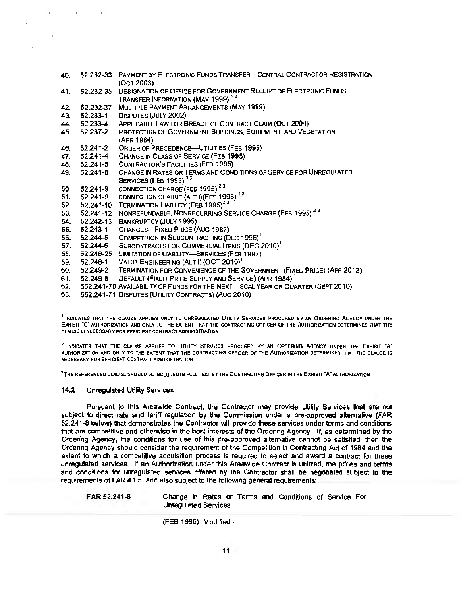- 40. 52.232-33 PAYMENT BY ELECTRONIC FUNDS TRANSFER-CENTRAL CONTRACTOR REGISTRATION (OCT 2003)
- 41. 52.232-35 DESIGNATION OF OFFICE FOR GOVERNMENT RECEIPT OF ELECTRONIC FUNDS TRANSFER INFORMATION (MAY 1999)  $^{12}$
- 42. 52.232-37 MULTIPLE PAYMENT ARRANGEMENTS (MAY 1999)
- 43. 52.233-1 DISPUTES (JULY 2002)
- 44. 52.233-4 APPLICABLE LAW FOR BREACH OF CONTRACT CLAIM (OCT 2004)
- 45. 52.237-2 PROTECTION OF GOVERNMENT BUILDINGS, EQUIPMENT, AND VEGETATION (APR 1984)
- 46. 52.241-2 ORDER OF PRECEDENCE-UTILITIES (FEB 1995)<br>47. 52.241-4 CHANGE IN CLASS OF SERVICE (FEB 1995)
- 47. 52.241-4 CHANGE IN CLASS OF SERVICE (FEB 1995)<br>48. 52.241-5 CONTRACTOR'S FACILITIES (FEB 1995)
- CONTRACTOR'S FACILITIES (FEB 1995)
- 49. 52.241-8 CHANGE IN RATES OR TERMS AND CONDITIONS OF SERVICE FOR UNREGULATED **SERVICES (FEB 1995)**<sup>1,3</sup>
- 50. 52.241-9 CONNECTION CHARGE (FEB 1995)<sup>2,3</sup>
- 50. 52.241-9 CONNECTION CHARGE (FEB 1995)<sup>2.3</sup><br>51. 52.241-9 CONNECTION CHARGE (ALT I)(FEB 1995)<sup>2.3</sup>
- 52. 52.241-10 TERMINATION LIABILITY (FEB 1995)<sup>2,3</sup>
- 52. 52.241-10 FERMINATION LIABILITY (FEB 1995)<br>53. 52.241-12 NONREFUNDABLE, NONRECURRING SERVICE CHARGE (FEB 1995) <sup>2.3</sup>
- 54. 52.242-13 BANKRUPTCY (JULY 1995)
- 
- 55. 52.243-1 CHANGES-FIXED PRICE (AUG 1987)<br>56. 52.244-5 COMPETITION IN SUBCONTRACTING (D
- 56. 52.244-5 COMPETITION IN SUBCONTRACTING (DEC 1996)<sup>1</sup><br>57. 52.244-6 SUBCONTRACTS FOR COMMERCIAL ITEMS (DEC ) SUBCONTRACTS FOR COMMERCIAL ITEMS (DEC 2010)<sup>1</sup>
- 58. 52.246-25 LIMITATION OF LIABILITY-SERVICES (FEB 1997)
- 59. 52.248-1 VALUE ENGINEERING (ALT I) (OCT 2010)<sup>1</sup>
- 60. 52.249-2 TERMINATION FOR CONVENIENCE OF THE GOVERNMENT (FIXED PRICE) (APR 2012)
- 61. 52.249-8 DEFAULT (FIXED-PRICE SUPPLY AND SERVICE) (APR 1984)
- 62. 552.241-70 AVAILABILITY OF FUNDS FOR THE NEXT FISCAL YEAR OR QUARTER (SEPT 2010)
- 63. 552.241-71 DISPUTES (UTILITY CONTRACTS) (AUG 2010)

<sup>1</sup> INDICATES THAT THE CLAUSE APPLIES ONLY TO UNREGULATED UTILITY SERVICES PROCURED BY AN ORDERING AGENCY UNDER THE ExHIBIT "C" AUTHORIZATION AND ONLY TO THE EXTENT THAT THE CONTRACTING OFFICER OF THE AUTHORIZATION DETERMINES THAT THE CLAUSE IS NECESSARY FOR EFFICIENT CONTRACT ADMINISTRATION.

2 INDICATES THAT THE CLAUSE APPLIES TO UTILITY SERVICES PROCURED BY AN ORDERING AGENCY UNDER THE ExHIBIT "A" AUTHORIZATION AND ONLY TO THE EXTENT THAT THE CONTRACTING OFFICER OF THE AUTHORIZATION DETERMINES THAT THE CLAUSE IS NECESSARY FOR EFFICIENT CONTRACT ADMINISTRATION.

<sup>3</sup>THE REFERENCED CLAUSE SHOULD BE INCLUDED IN FULL TEXT BY THE CONTRACTING OFFICER IN THE EXHIBIT "A" AUTHORIZATION.

#### 14.2 Unregulated Utility Services

Pursuant to this Areawide Contract, the Contractor may provide Utility Services that are not subject to direct rate and tariff regulation by the Commission under a pre-approved alternative (FAR 52.241-8 below) that demonstrates the Contractor will provide these services under terms and conditions that are competitive and otherwise in the best interests of the Ordering Agency. If, as determined by the Ordering Agency, the conditions for use of this pre-approved alternative cannot be satisfied, then the Ordering Agency should consider the requirement of the Competition in Contracting Act of 1984 and the extent to which a competitive acquisition process is required to select and award a contract for these unregulated services. If an Authorization under this Areawide Contract is utilized, the prices and terms and conditions for unregulated services offered by the Contractor shall be negotiated subject to the requirements of FAR 41.5, and also subject to the following general requirements:

FAR 52.241-8 Change in Rates or Terms and Conditions of Service For Unregulated Services

(FEB 1995)~ Modified-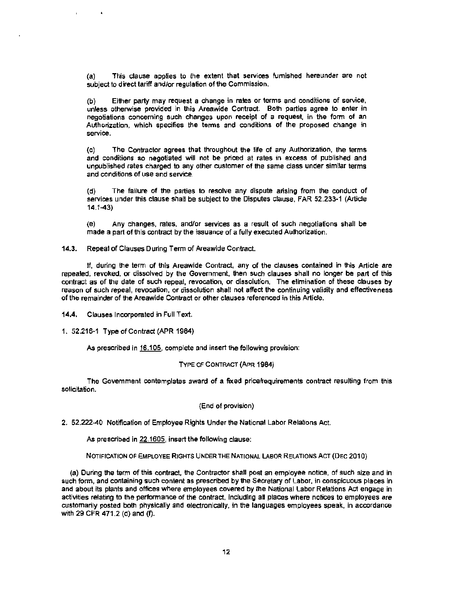(a) This clause applies to the extent that services furnished hereunder are not subject to direct tariff and/or regulation of the Commission.

(b) Either party may request a change in rates or terms and conditions of service, unless otherwise provided in this Areawide Contract. Both parties agree to enter in negotiations concerning such changes upon receipt of a request, in the form of an Authorization, which specifies the terms and conditions of the proposed change in service.

(c) The Contractor agrees that throughout the life of any Authorization, the terms and conditions so negotiated will not be priced at rates in excess of published and unpublished rates charged to any other customer of the same class under similar terms and conditions of use and service.

(d) The failure of the parties to resolve any dispute arising from the conduct of services under this clause shall be subject to the Disputes clause, FAR 52.233-1 (Article 14.1-43)

(e) Any changes, rates, and/or services as a result of such negotiations shall be made a part of this contract by the issuance of a fully executed Authorization.

**14.3.** Repeal of Clauses During Term of Areawide Contract.

If, during the term of this Areawide Contract, any of the clauses contained in this Article are repealed, revoked, or dissolved by the Government. then such clauses shall no longer be part of this contract as of the date of such repeal. revocation, or dissolution. The elimination of these clauses by reason of such repeal, revocation, or dissolution shall not affect the continuing validity and effectiveness of the remainder of the Areawide Contract or other clauses referenced in this Article.

**14.4.** Clauses Incorporated in Full Text.

1. 52.216-1 Type of Contract (APR 1984)

As prescribed in 16.105, complete and insert the following provision:

#### TYPE OF CONTRACT (APR 1984)

The Government contemplates award of a fixed price/requirements contract resulting from this solicitation.

(End of provision)

2. 52.222-40 Notification of Employee Rights Under the National Labor Relations Act.

As prescribed in 22.1605, insert the following clause:

NOTIFICATION OF EMPLOYEE RIGHTS UNDER THE NATIONAL LABOR RELATIONS ACT (DEC 2010)

(a) During the term of this contract, the Contractor shall post an employee notice, of such size and in such form, and containing such content as prescribed by the Secretary of Labor, in conspicuous places in and about its plants and offices where employees covered by the National Labor Relations Act engage in activities relating to the performance of the contract, including all places where notices to employees are customarily posted both physically and electronically, in the languages employees speak, in accordance with 29 CFR 471.2 (d) and (f).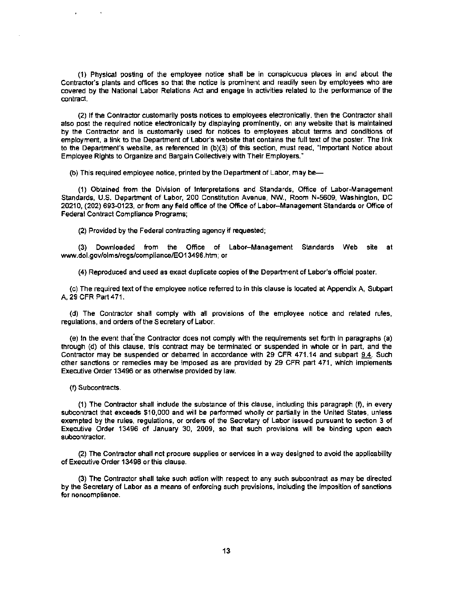(1) Physical posting of the employee notice shall be in conspicuous places in and about the Contractor's plants and offices so that the notice is prominent and readily seen by employees who are covered by the National Labor Relations Act and engage in activities related to the performance of the contract.

(2) If the Contractor customarily posts notices to employees electronically, then the Contractor shall also post the required notice electronically by displaying prominently, on any website that is maintained by the Contractor and is customarily used for notices to employees about terms and conditions of employment, a link to the Department of labor's website that contains the full text of the poster. The link to the Department's website, as referenced in (b)(3) of this section, must read, "Important Notice about Employee Rights to Organize and Bargain Collectively with Their Employers."

(b) This required employee notice, printed by the Department of Labor, may be

(1) Obtained from the Division of Interpretations and Standards, Office of Labor-Management Standards, U.S. Department of labor, 200 Constitution Avenue, NW., Room N-5609, Washington, DC 2021 0, (202) 693-0123, or from any field office of the Office of Labor-Management Standards or Office of Federal Contract Compliance Programs;

(2) Provided by the Federal contracting agency if requested;

(3) Downloaded from the Office of Labor-Management Standards Web site at www.dol.gov/olmslregs/compliance/E013496.htm; or

(4) Reproduced and used as exact duplicate copies of the Department of Labor's official poster.

(c) The required text of the employee notice referred to in this clause is located at Appendix A, Subpart A, 29 CFR Part471.

(d) The Contractor shall comply with all provisions of the employee notice and related rules, regulations, and orders of the Secretary of Labor.

(e) In the event that"the Contractor does not comply with the requirements set forth in paragraphs (a) through (d) of this clause, this contract may be terminated or suspended in whole or in part, and the Contractor may be suspended or debarred in accordance with 29 CFR 471.14 and subpart 9.4. Such other sanctions or remedies may be imposed as are provided by 29 CFR part 471, which implements Executive Order 13496 or as otherwise provided by law.

(f) Subcontracts.

 $\bullet$ 

(1) The Contractor shall include the substance of this clause, including this paragraph (f), in every subcontract that exceeds \$10,000 and will be performed wholly or partially in the United States, unless exempted by the rules, regulations, or orders of the Secretary of Labor issued pursuant to section 3 of Executive Order 13496 of January 30, 2009, so that such provisions will be binding upon each subcontractor.

(2) The Contractor shall not procure supplies or.services in a way designed to avoid the applicability of Executive Order 13496 or this clause.

(3) The Contractor shall take such action with respect to any such subcontract as may be directed by the Secretary of Labor as a means of enforcing such provisions, including the imposition of sanctions for noncompliance.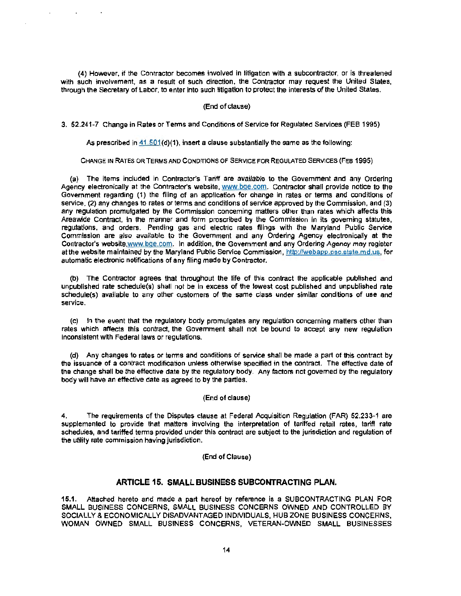(4) However. if the Contractor becomes involved in litigation with a subcontractor, or is threatened with such involvement, as a result of such direction, the Contractor may request the United States, through the Secretary of Labor, to enter into such litigation to protect the interests of the United States.

#### (End of clause)

3. 52.241-7 Change in Rates or Terms and Conditions of Service for Regulated Services (FEB 1995)

As prescribed in  $41.501(d)(1)$ , insert a clause substantially the same as the following:

CHANGE IN RATES OR TERMS AND CONDITIONS OF SERVICE FOR REGULATED SERVICES (FEB 1995)

(a) The items included in Contractor's Tariff are available to the Government and any Ordering Agency electronically at the Contractor's website, www.bqe.com. Contractor shall provide notice to the Government regarding (1) the filing of an application for change in rates or terms and conditions of service, (2) any changes to rates or terms and conditions of service approved by the Commission, and (3) any regulation promulgated by the Commission concerning matters other than rates which affects this Areawide Contract, in the manner and form proscribed by the Commission in its governing statutes, regulations. and orders. Pending gas and electric rates filings with the Maryland Public Service Commission are also available to the Government and any Ordering Agency electronically at the Contractor's website,www.bge.com. In addition, the Government and any Ordering Agency may register at the website maintained by the Maryland Public Service Commission, http://webapp.psc.state.md.us, for automatic electronic notifications of any filing made by Contractor.

(b) The Contractor agrees that throughout the life of this contract the applicable published and unpublished rate schedule(s) shall not be in excess of the lowest cost published and unpublished rate schedule(s) available to any other customers of the same class under similar conditions of use and service.

(c) In the event that the regulatory body promulgates any regulation concerning matters other than rates which affects this contract, the Government shall not be bound to accept any new regulation inconsistent with Federal laws or regulations.

(d) Any changes to rates or terms and conditions of service shall be made a part of this contract by the issuance of a contract modification unless otherwise specified in the contract. The effective date of the change shall be the effective date by the regulatory body. Any factors not governed by the regulatory body will have an effective date as agreed to by the parties.

#### (End of clause)

4. The requirements of the Disputes clause at Federal Acquisition Regulation (FAR) 52.233-1 are supplemented to provide that matters involving the interpretation of tariffed retail rates, tariff rate schedules, and tariffed terms provided under this contract are subject to the jurisdiction and regulation of the utility rate commission having jurisdiction.

#### (End of Clause)

#### ARTICLE 16. SMALL BUSINESS SUBCONTRACTING PLAN.

15.1. Attached hereto and made a part hereof by reference is a SUBCONTRACTING PLAN FOR SMALL BUSINESS CONCERNS, SMALL BUSINESS CONCERNS OWNED AND CONTROLLED BY SOCIALLY & ECONOMICALLY DISADVANTAGED INDIVIDUALS, HUB ZONE BUSINESS CONCERNS, WOMAN OWNED SMALL BUSINESS CONCERNS, VETERAN-OWNED SMALL BUSINESSES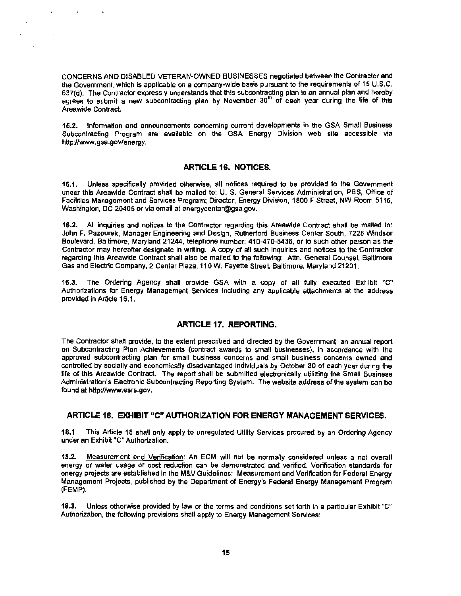CONCERNS AND DISABLED VETERAN-OWNED BUSINESSES negotiated between the Contractor and the Government, which is applicable on a company-wide basis pursuant to the requirements of 15 U.S.C. 637(d). The Contractor expressly understands that this subcontracting plan is an annual plan and hereby agrees to submit a new subcontracting plan by November 30<sup>th</sup> of each year during the life of this Areawide Contract.

15.2. Information and announcements concerning current developments in the GSA Small Business Subcontracting Program are available on the GSA Energy Division web site accessible via http://www.gsa.gov/energy.

### ARTICLE 16. NOTICES.

16.1. Unless specifically provided otherwise, all notices required to be provided to the Government under this Areawide Contract shall be mailed to: U. S. General Services Administration, PBS, Office of Facilities Management and Services Program; Director, Energy Division, 1800 F Street, NW Room 5116, Washington, DC 20405 or via email at energycenter@gsa.gov.

16.2. All inquiries and notices to the Contractor regarding this Areawide Contract shall be mailed to: John F. Pazourek, Manager Engineering and Design, Rutherford Business Center South, 7225 Windsor Boulevard, Baltimore, Maryland 21244, telephone number: 410-470-8438, or to such other person as the Contractor may hereafter designate in wrfting. A copy of all such inquiries and notices to the Contractor regarding this Areawide Contract shall also be mailed to the following: Attn. General Counsel, Baltimore Gas and Electric Company, 2 Center Plaza, 110 W. Fayette Street. Baltimore, Maryland 21201.

16.3. The Ordering Agency shall provide GSA with a copy of all fully executed Exhibit "C" Authorizations for Energy Management Services including any applicable attachments at the address provided in Article 16.1.

#### ARTICLE 17. REPORTING.

The Contractor shall provide, to the extent prescribed and directed by the Government, an annual report on Subcontracting Plan Achievements (contract awards to small businesses), in accordance with the approved subcontracting plan for small business concerns and small business concerns owned and controlled by socially and economically disadvantaged individuals by October 30 of each year during the life of this Areawide Contract. The report shall be submitted electronically utilizing the Small Business Administration's Electronic Subcontracting Reporting System. The website address of the system can be found at http://www.esrs.gov.

## ARTICLE 18. EXHIBIT "C" AUTHORIZATION FOR ENERGY MANAGEMENT SERVICES.

18.1 This Article 18 shall only apply to unregulated Utility Services procured by an Ordering Agency under an Exhibit "C" Authorization.

18.2. Measurement and Verification: An ECM will not be normally considered unless a net overall energy or water usage or cost reduction can be demonstrated and verified. Verification standards for energy projects are established in the M&V Guidelines: Measurement and Verification for Federal Energy Management Projects, published by the Department of Energy's Federal Energy Management Program (FEMP).

18.3. Unless otherwise provided by law or the terms and conditions set forth in a particular Exhibit "C" Authorization, the following provisions shall apply to Energy Management Services: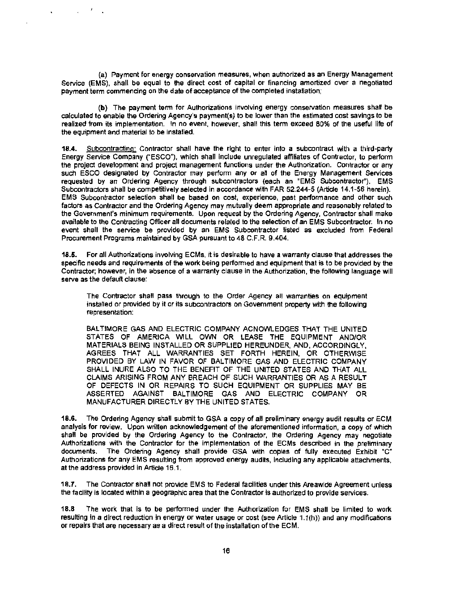(a) Payment for energy conservation measures, when authorized as an Energy Management Service (EMS), shall be equal to the direct cost of capital or financing amortized over a negotiated payment term commencing on the date of acceptance of the completed installation;

 $\mathbf{r}$ 

(b) The payment term for Authorizations Involving energy conservation measures shall be calculated to enable the Ordering Agency's payment(s} to be lower than the estimated cost savings to be realized from its implementation. In no event, however, shall this term exceed 80% of the useful life of the equipment and material to be installed.

18.4. Subcontracting: Contractor shall have the right to enter into a subcontract with a third-party Energy Service Company ("ESCO"), which shall include unregulated affiliates of Contractor, to perform the project development and project management functions under the Authorization. Contractor or any such ESCO designated by Contractor may perform any or all of the Energy Management Services requested by an Ordering Agency through subcontractors (each an "EMS Subcontractor"). EMS Subcontractors shall be competitively selected in accordance with FAR 52.244-5 (Article 14.1-56 herein}. EMS Subcontractor selection shall be based on cost, experience, past performance and other such factors as Contractor and the Ordering Agency may mutually deem appropriate and reasonably related to the Government's minimum requirements. Upon request by the Ordering Agency, Contractor shall make available to the Contracting Officer all documents related to the selection of an EMS Subcontractor. In no event shall the service be provided by an EMS Subcontractor listed as excluded from Federal Procurement Programs maintained by GSA pursuant to 48 C.F.R. 9.404.

18.5. For all Authorizations involving ECMs, it is desirable to have a warranty clause that addresses the specific needs and requirements of the work being performed and equipment that is to be provided by the Contractor; however, In the absence of a warranty clause in the Authorization, the following language will serve as the default clause:

The Contractor shall pass through to the Order Agency all warranties on equipment installed or provided by it or its subcontractors on Government property with the following representation:

BALTIMORE GAS AND ELECTRIC COMPANY ACNOWLEDGES THAT THE UNITED STATES OF AMERICA WlLL OWN OR LEASE THE EQUIPMENT AND/OR MATERIALS BEING INSTALLED OR SUPPLIED HEREUNDER, AND, ACCORDINGLY, AGREES THAT ALL WARRANTIES SET FORTH HEREIN, OR OTHERWISE PROVIDED BY LAW IN FAVOR OF BALTIMORE GAS AND ELECTRIC COMPANY SHALL INURE ALSO TO THE BENEFIT OF THE UNITED STATES AND THAT ALL CLAIMS ARISING FROM ANY BREACH OF SUCH WARRANTIES OR AS A RESULT OF DEFECTS IN OR REPAIRS TO SUCH EQUIPMENT OR SUPPLIES MAY BE ASSERTED AGAINST BALTIMORE GAS AND ELECTRIC COMPANY OR MANUFACTURER DIRECTLY BY THE UNITED STATES.

18.6. The Ordering Agency shall submit to GSA a copy of all preliminary energy audit results or ECM analysis for review. Upon written acknowledgement of the aforementioned information, a copy of which shall be provided by the Ordering Agency to the Contractor, the Ordering Agency may negotiate Authorizations with the Contractor for the implementation of the ECMs described in the preliminary documents. The Ordering Agency shall provide GSA with copies of fully executed Exhibit  ${}^{\circ}$ C" Authorizations for any EMS resulting from approved energy audits, including any applicable attachments, at the address provided in Article 16.1.

18.7. The Contractor shall not provide EMS to Federal facilities under this Areawide Agreement unless the facility is located within a geographic area that the Contractor is authorized to provide services.

18.8 The work that is to be performed under the Authorization for EMS shall be limited to work resulting in a direct reduction in energy or water usage or cost (see Article 1.1(h)) and any modifications or repairs that are necessary as a direct result of the installation of the ECM.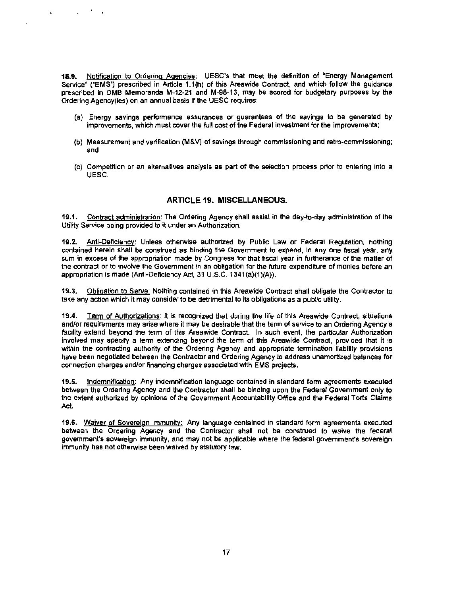18.9. Notification to Ordering Agencies: UESC's that meet the definition of "Energy Management Service" ("EMS") prescribed in Article 1.1(h) of this Areawide Contract, and which follow the guidance prescribed in OMB Memoranda M-12-21 and M-98-13, may be scored for budgetary purposes by the Ordering Agency(ies) on an annual basis if the UESC requires:

 $\mathbf{r}$ 

 $\mathbf{r}$ 

- (a) Energy savings performance assurances or guarantees of the savings to be generated by improvements, which must cover the full cost of the Federal investment for the improvements:
- (b) Measurement and verification (M&V) of savings through commissioning and retro-commissioning; and
- (c) Competition or an alternatives analysis as part of the selection process prior to entering into a UESC.

## ARTICLE 19. MISCELLANEOUS.

19.1. Contract administration: The Ordering Agency shall assist in the day-to-day administration of the Utility Service being provided to it under an Authorization.

19.2. Anti-Deficiency: Unless otherwise authorized by Public Law or Federal Regulation, nothing contained herein shall be construed as binding the Government to expend, in any one fiscal year, any sum in excess of the appropriation made by Congress for that fiscal year in furtherance of the matter of the contract or to involve the Government in an obligation for the future expenditure of monies before an appropriation is made (Anti-Deficiency Act, 31 U.S.C. 1341(a)(1)(A)).

19.3. Obligation to Serve: Nothing contained in this Areawide Contract shall obligate the Contractor to take any action which it may consider to be detrimental to its obligations as a public utility.

19.4. Term of Authorizations: It is recognized that during the life of this Areawide Contract, situations and/or requirements may arise where it may be desirable that the term of service to an Ordering Agency's facility extend beyond the term of this Areawide Contract. In such event, the particular Authorization involved may specify a term extending beyond the term of this Areawide Contract, provided that it is within the contracting authority of the Ordering Agency and appropriate termination liability provisions have been negotiated between the Contractor and Ordering Agency to address unamortized balances for connection charges and/or financing charges associated with EMS projects.

19.5. Indemnification: Any indemnification language contained in standard form agreements executed between the Ordering Agency and the Contractor shall be binding upon the Federal Government only to the extent authorized by opinions of the Government Accountability Office and the Federal Torts Claims Act.

19.6. Waiver of Sovereign Immunity: Any language contained in standard form agreements executed between the Ordering Agency and the Contractor shall not be construed to waive the federal government's sovereign immunity, and may not be applicable where the federal government's sovereign immunity has not otherwise been waived by statutory law.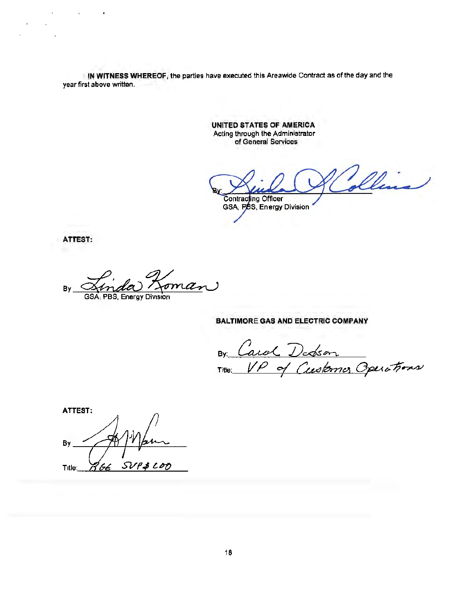IN WITNESS WHEREOF, the parties have executed this Areawide Contract as ofthe day and the year first above written.

> UNITED STATES OF AMERICA Acting through the Administrator of General Services

Illin **Contracting Officer** GSA, PBS, Energy Division

ATTEST:

 $\mathcal{L}^{\text{max}}$  .

 $\bullet$ 

 $\mathbf{r}$  .

J.

By <u>Ainda Koman</u>

## BALTIMORE GAS AND ELECTRIC COMPANY

By Carol Debson<br>Title: <u>VP</u> of Customer Operations

ATTEST: By  $SVP$ \$LOD hL Title: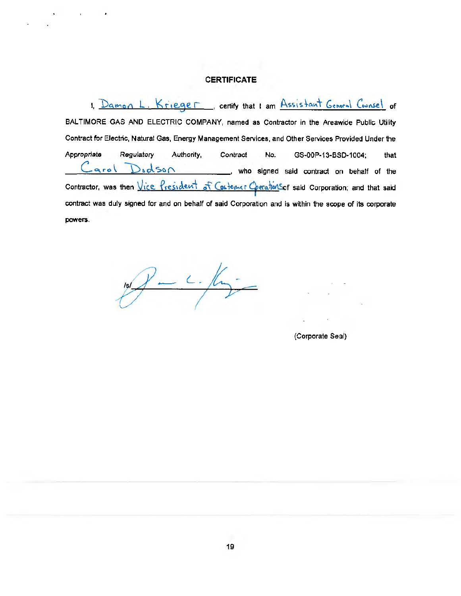# **CERTIFICATE**

I, Damon L. Krieger, certify that I am Assistant General Counsel of BALTIMORE. GAS AND ELECTRIC COMPANY, named as Contractor in the Areawide Public Utility Contract for Electric, Natural Gas, Energy Management Services, and Other Services Provided Under the Appropriate Regulatory Authority, Contract No. GS-00P-13-BSD-1004; that  $\text{Cardi}$   $\text{D}_s$ d so  $\text{D}_s$  ..., who signed said contract on behalf of the Contractor, was then Vice President of Costomer Operations said Corporation; and that said contract was duly signed for and on behalf of said Corporation and is within the scope of its corporate powers.

 $\gamma$ -  $c$ . /hm

(Corporate Seal)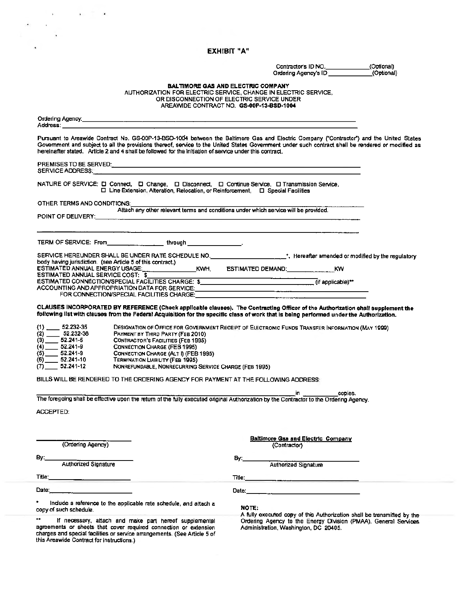# EXHIBIT "A"

 $\mathcal{L}^{\text{max}}(\mathbf{r},\mathbf{r})$  , and  $\mathcal{L}^{\text{max}}(\mathbf{r},\mathbf{r})$ 

 $\frac{1}{\left(\frac{1}{\alpha}\right)^{2}}$  .

|                                                                                                                                                                                                                                                                                                                                                                                                            | Contractor's ID NO.                                                                                                                                                                                    | (Optional) |
|------------------------------------------------------------------------------------------------------------------------------------------------------------------------------------------------------------------------------------------------------------------------------------------------------------------------------------------------------------------------------------------------------------|--------------------------------------------------------------------------------------------------------------------------------------------------------------------------------------------------------|------------|
|                                                                                                                                                                                                                                                                                                                                                                                                            | Ordering Agency's ID                                                                                                                                                                                   | (Optional) |
|                                                                                                                                                                                                                                                                                                                                                                                                            | <b>BALTIMORE GAS AND ELECTRIC COMPANY</b><br>AUTHORIZATION FOR ELECTRIC SERVICE, CHANGE IN ELECTRIC SERVICE,<br>OR DISCONNECTION OF ELECTRIC SERVICE UNDER<br>AREAWIDE CONTRACT NO. GS-00P-13-BSD-1004 |            |
| Address: ____________                                                                                                                                                                                                                                                                                                                                                                                      |                                                                                                                                                                                                        |            |
| Pursuant to Areawide Contract No. GS-00P-13-BSD-1004 between the Baltimore Gas and Electric Company ("Contractor") and the United States<br>Government and subject to all the provisions thereof, service to the United States Government under such contract shall be rendered or modified as<br>hereinafter stated. Article 2 and 4 shall be followed for the initiation of service under this contract. |                                                                                                                                                                                                        |            |
| SERVICE ADDRESS: The contract of the contract of the contract of the contract of the contract of the contract of the contract of the contract of the contract of the contract of the contract of the contract of the contract                                                                                                                                                                              |                                                                                                                                                                                                        |            |
| NATURE OF SERVICE: [ Connect, [ Change, [ Clisconnect, [ Continue Service, [ ] Transmission Service,<br>$\Box$ Line Extension, Alteration, Relocation, or Reinforcement, $\Box$ Special Facilities                                                                                                                                                                                                         |                                                                                                                                                                                                        |            |
| OTHER TERMS AND CONDITIONS:<br>Altach any other relevant terms and conditions under which service will be provided.                                                                                                                                                                                                                                                                                        |                                                                                                                                                                                                        |            |
|                                                                                                                                                                                                                                                                                                                                                                                                            |                                                                                                                                                                                                        |            |
| TERM OF SERVICE: From __________________through _________________________________                                                                                                                                                                                                                                                                                                                          |                                                                                                                                                                                                        |            |
| SERVICE HEREUNDER SHALL BE UNDER RATE SCHEDULE NO. _______________________*, Hereafter amended or modified by the regulatory                                                                                                                                                                                                                                                                               |                                                                                                                                                                                                        |            |
|                                                                                                                                                                                                                                                                                                                                                                                                            |                                                                                                                                                                                                        |            |
| ACCOUNTING AND APPROPRIATION DATA FOR SERVICE: The and the contract of the contract of the contract of the contract of the contract of the contract of the contract of the contract of the contract of the contract of the con                                                                                                                                                                             |                                                                                                                                                                                                        |            |
| CLAUSES INCORPORATED BY REFERENCE (Check applicable clauses). The Contracting Officer of the Authorization shall supplement the<br>following list with clauses from the Federal Acquisition for the specific class of work that is being performed under the Authorization.                                                                                                                                |                                                                                                                                                                                                        |            |
|                                                                                                                                                                                                                                                                                                                                                                                                            | DESIGNATION OF OFFICE FOR GOVERNMENT RECEIPT OF ELECTRONIC FUNDS TRANSFER INFORMATION (MAY 1999)                                                                                                       |            |
| $(3)$ 52.232-36<br>$(3)$ 52.241-5<br>$(4)$ 52.241-5<br>$(5)$ 52.241-9<br>$(6)$ 52.241-9<br>$(6)$ 52.241-10<br>PAYMENT BY THIRD PARTY (FEB 2010)                                                                                                                                                                                                                                                            |                                                                                                                                                                                                        |            |
| <b>CONTRACTOR'S FACILITIES (FEB 1995)</b>                                                                                                                                                                                                                                                                                                                                                                  |                                                                                                                                                                                                        |            |
| <b>CONNECTION CHARGE (FEB 1995)</b><br>CONNECTION CHARGE (ALT I) (FEB 1995)                                                                                                                                                                                                                                                                                                                                |                                                                                                                                                                                                        |            |
| <b>TERMINATION LIABILITY (FEB 1995)</b>                                                                                                                                                                                                                                                                                                                                                                    |                                                                                                                                                                                                        |            |
| $(7)$ 52.241-12<br>NONREFUNDABLE, NONRECURRING SERVICE CHARGE (FEB 1995)                                                                                                                                                                                                                                                                                                                                   |                                                                                                                                                                                                        |            |
| BILLS WILL BE RENDERED TO THE ORDERING AGENCY FOR PAYMENT AT THE FOLLOWING ADDRESS:                                                                                                                                                                                                                                                                                                                        |                                                                                                                                                                                                        |            |
|                                                                                                                                                                                                                                                                                                                                                                                                            | jin <sub>ar</sub> an a<br>copies.                                                                                                                                                                      |            |
| The foregoing shall be effective upon the return of the fully executed original Authorization by the Contractor to the Ordering Agency.                                                                                                                                                                                                                                                                    |                                                                                                                                                                                                        |            |
| ACCEPTED:                                                                                                                                                                                                                                                                                                                                                                                                  |                                                                                                                                                                                                        |            |
| (Ordering Agency)                                                                                                                                                                                                                                                                                                                                                                                          | <b>Baltimore Gas and Electric Company</b><br>(Contractor)                                                                                                                                              |            |
| $By_{-}$<br>Authorized Signature                                                                                                                                                                                                                                                                                                                                                                           | 8y:__<br>Authorized Signature                                                                                                                                                                          |            |
|                                                                                                                                                                                                                                                                                                                                                                                                            |                                                                                                                                                                                                        |            |
|                                                                                                                                                                                                                                                                                                                                                                                                            |                                                                                                                                                                                                        |            |
|                                                                                                                                                                                                                                                                                                                                                                                                            |                                                                                                                                                                                                        |            |
| ٠<br>Include a reference to the applicable rate schedule, and attach a<br>copy of such schedule.                                                                                                                                                                                                                                                                                                           | NOTE:<br>A fully executed copy of this Authorization shall be transmitted by the                                                                                                                       |            |
| $\star$<br>If necessary, attach and make part hereof supplemental<br>agreements or sheets that cover required connection or extension<br>charges and special facilities or service arrangements. (See Article 5 of<br>this Areawide Contract for instructions.)                                                                                                                                            | Ordering Agency to the Energy Division (PMAA), General Services<br>Administration, Washington, DC 20405.                                                                                               |            |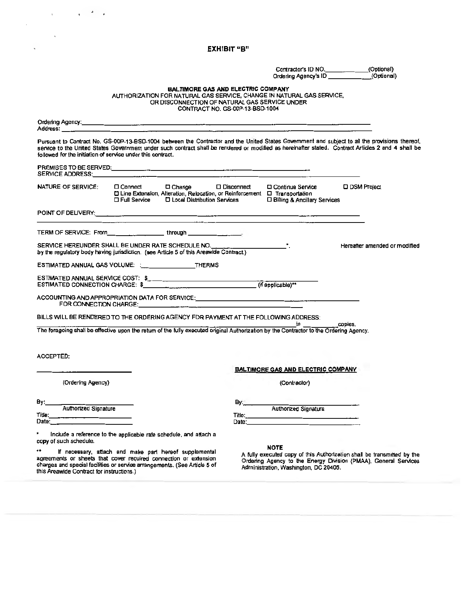#### EXHIBIT "B"

Contractor's ID NO. \_\_\_\_\_\_\_\_\_\_\_\_\_\_\_(Optional)<br>Ordering Agency's ID \_\_\_\_\_\_\_\_\_\_\_\_\_\_(Optional)

BALTIMORE GAS AND ELECTRIC COMPANY<br>AUTHORIZATION FOR NATURAL GAS SERVICE, CHANGE IN NATURAL GAS SERVICE, OR DISCONNECTION OF NATURAL GAS SERVICE UNDER CONTRACT NO. GS·OOP-13-BSD-1004

| Address: _______                                                                                                                                                                                                               | <u> 1980 - Jan Barat, amerikan bahasa di sebagai bahasa di sebagai bahasa di sebagai bahasa di sebagai bahasa di</u> |              |                                                                                                                                         |                                                                                                                                                                                                                                                                                                       |
|--------------------------------------------------------------------------------------------------------------------------------------------------------------------------------------------------------------------------------|----------------------------------------------------------------------------------------------------------------------|--------------|-----------------------------------------------------------------------------------------------------------------------------------------|-------------------------------------------------------------------------------------------------------------------------------------------------------------------------------------------------------------------------------------------------------------------------------------------------------|
| followed for the initiation of service under this contract.                                                                                                                                                                    |                                                                                                                      |              |                                                                                                                                         | Pursuant to Contract No. GS-00P-13-BSD-1004 between the Contractor and the United States Government and subject to all the provisions thereof,<br>service to the United States Government under such contract shall be rendered or modified as hereinafter stated. Contract Articles 2 and 4 shall be |
| SERVICE ADDRESS: And the contract of the contract of the contract of the contract of the contract of the contract of the contract of the contract of the contract of the contract of the contract of the contract of the contr |                                                                                                                      |              |                                                                                                                                         |                                                                                                                                                                                                                                                                                                       |
| <b>NATURE OF SERVICE:</b>                                                                                                                                                                                                      | □ Line Extension, Alteration, Relocation, or Reinforcement □ Transportation                                          |              | □ Connect ● □ Change ● □ Disconnect ● □ Continue Service<br>□ Full Service □ Local Distribution Services □ Billing & Ancillary Services | <b>D DSM Project</b>                                                                                                                                                                                                                                                                                  |
|                                                                                                                                                                                                                                |                                                                                                                      |              |                                                                                                                                         |                                                                                                                                                                                                                                                                                                       |
| TERM OF SERVICE: From through through the state of the state of the state of the state of the state of the state of the state of the state of the state of the state of the state of the state of the state of the state of th |                                                                                                                      |              |                                                                                                                                         |                                                                                                                                                                                                                                                                                                       |
| SERVICE HEREUNDER SHALL BE UNDER RATE SCHEDULE NO. ______________________________<br>by the regulatory body having jurisdiction. (see Article 5 of this Areawide Contract.)                                                    |                                                                                                                      |              |                                                                                                                                         | Hereafter amended or modified                                                                                                                                                                                                                                                                         |
| ESTIMATED ANNUAL GAS VOLUME: : THERMS                                                                                                                                                                                          |                                                                                                                      |              |                                                                                                                                         |                                                                                                                                                                                                                                                                                                       |
|                                                                                                                                                                                                                                |                                                                                                                      |              |                                                                                                                                         |                                                                                                                                                                                                                                                                                                       |
| ACCOUNTING AND APPROPRIATION DATA FOR SERVICE:___________________________________                                                                                                                                              |                                                                                                                      |              |                                                                                                                                         |                                                                                                                                                                                                                                                                                                       |
| BILLS WILL BE RENDERED TO THE ORDERING AGENCY FOR PAYMENT AT THE FOLLOWING ADDRESS:                                                                                                                                            |                                                                                                                      |              | <b>Example 19</b> in the copies,                                                                                                        |                                                                                                                                                                                                                                                                                                       |
| The foragoing shall be effective upon the return of the fully executed original Authorization by the Contractor to the Ordering Agency.                                                                                        |                                                                                                                      |              |                                                                                                                                         |                                                                                                                                                                                                                                                                                                       |
| ACCEPTED:                                                                                                                                                                                                                      |                                                                                                                      |              |                                                                                                                                         |                                                                                                                                                                                                                                                                                                       |
|                                                                                                                                                                                                                                |                                                                                                                      |              | <b>BALTIMORE GAS AND ELECTRIC COMPANY</b>                                                                                               |                                                                                                                                                                                                                                                                                                       |
| (Ordering Agency)                                                                                                                                                                                                              |                                                                                                                      |              | (Contractor)                                                                                                                            |                                                                                                                                                                                                                                                                                                       |
| By:___                                                                                                                                                                                                                         |                                                                                                                      | By:_________ |                                                                                                                                         |                                                                                                                                                                                                                                                                                                       |
| Authorized Signature<br>Title:<br>Date: _________________________                                                                                                                                                              |                                                                                                                      |              | Authorized Signatura                                                                                                                    |                                                                                                                                                                                                                                                                                                       |
| Include a reference to the applicable rate schedule, and attach a<br>copy of such schedule.                                                                                                                                    |                                                                                                                      |              |                                                                                                                                         |                                                                                                                                                                                                                                                                                                       |

NOTE<br>If necessary, attach and make part hereof supplemental A fully executed<br>agreements or sheets that cover required connection or extension or ordering Agency<br>charges and special facilities or service arrangements. (See <sup>\*\*</sup> If necessary, attach and make part hereof supplemental<br>agreements or sheets that cover required connection or extension<br>charges and special facilities or service arrangements. (See Article 5 of Critering Agency to the

 $\mathcal{L}=\mathcal{F}=\mathcal{F}$ 

 $\mathbf{r}$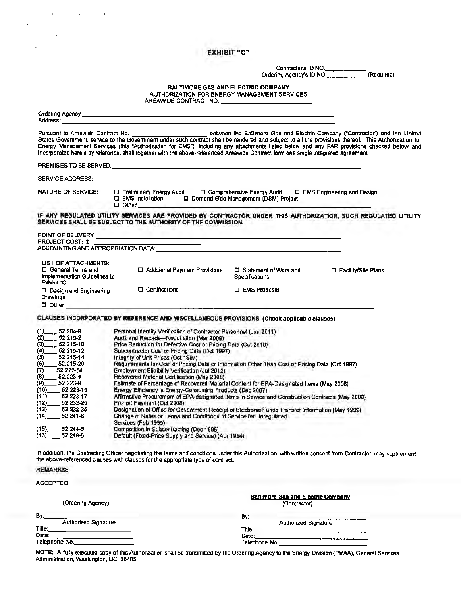### EXHIBIT "C'•

*-'* 

 $\bullet$  .

 $\bar{\mathbf{v}}$ 

Ŷ.

 $\overline{\phantom{a}}$ 

Contractor's ID NO.<br>Ordering Agency's ID NO \_\_\_\_\_\_\_\_\_\_\_\_\_\_\_(Required)

SALTIMORE GAS AND ELECTRIC COMPANY AUTHORIZATION FOR ENERGY MANAGEMENT SERVICES AUTHORIZATION FOR ENERGY MANAGEMENT SERVICES<br>AREAWIDE CONTRACT NO.

| Address: Andreas Address and Address and Address and Address and Address and Address and Address and Address a                                                                                                                                                                                                                                                     |                                                                                                                                                                                                                                                                                                                                                                                                                                                                                                                                                                                                                                                                                                                                                                                                                                                                                                                                                                                                                                                                                                                                                                                                                                                                                                                         |                                                           |                       |
|--------------------------------------------------------------------------------------------------------------------------------------------------------------------------------------------------------------------------------------------------------------------------------------------------------------------------------------------------------------------|-------------------------------------------------------------------------------------------------------------------------------------------------------------------------------------------------------------------------------------------------------------------------------------------------------------------------------------------------------------------------------------------------------------------------------------------------------------------------------------------------------------------------------------------------------------------------------------------------------------------------------------------------------------------------------------------------------------------------------------------------------------------------------------------------------------------------------------------------------------------------------------------------------------------------------------------------------------------------------------------------------------------------------------------------------------------------------------------------------------------------------------------------------------------------------------------------------------------------------------------------------------------------------------------------------------------------|-----------------------------------------------------------|-----------------------|
|                                                                                                                                                                                                                                                                                                                                                                    | Energy Management Services (this "Authorization for EMS"), including any attachments listed below and any FAR provisions checked below and<br>incorporated herein by reference, shall together with the above-referenced Areawide Contract form one single integrated agreement.                                                                                                                                                                                                                                                                                                                                                                                                                                                                                                                                                                                                                                                                                                                                                                                                                                                                                                                                                                                                                                        |                                                           |                       |
|                                                                                                                                                                                                                                                                                                                                                                    |                                                                                                                                                                                                                                                                                                                                                                                                                                                                                                                                                                                                                                                                                                                                                                                                                                                                                                                                                                                                                                                                                                                                                                                                                                                                                                                         |                                                           |                       |
| <b>SERVICE ADDRESS:</b>                                                                                                                                                                                                                                                                                                                                            |                                                                                                                                                                                                                                                                                                                                                                                                                                                                                                                                                                                                                                                                                                                                                                                                                                                                                                                                                                                                                                                                                                                                                                                                                                                                                                                         |                                                           |                       |
| <b>NATURE OF SERVICE:</b>                                                                                                                                                                                                                                                                                                                                          | □ Preliminary Energy Audit<br>□ EMS Installation □ □ Demand Side Management (DSM) Project<br>$\Box$ Other                                                                                                                                                                                                                                                                                                                                                                                                                                                                                                                                                                                                                                                                                                                                                                                                                                                                                                                                                                                                                                                                                                                                                                                                               | □ Comprehensive Energy Audit □ EMS Engineering and Design |                       |
|                                                                                                                                                                                                                                                                                                                                                                    | IF ANY REGULATED UTILITY SERVICES ARE PROVIDED BY CONTRACTOR UNDER THIS AUTHORIZATION, SUCH REGULATED UTILITY<br>SERVICES SHALL BE SUBJECT TO THE AUTHORITY OF THE COMMISSION.                                                                                                                                                                                                                                                                                                                                                                                                                                                                                                                                                                                                                                                                                                                                                                                                                                                                                                                                                                                                                                                                                                                                          |                                                           |                       |
| POINT OF DELIVERY:                                                                                                                                                                                                                                                                                                                                                 |                                                                                                                                                                                                                                                                                                                                                                                                                                                                                                                                                                                                                                                                                                                                                                                                                                                                                                                                                                                                                                                                                                                                                                                                                                                                                                                         |                                                           |                       |
| <b>PROJECT COST: \$</b>                                                                                                                                                                                                                                                                                                                                            |                                                                                                                                                                                                                                                                                                                                                                                                                                                                                                                                                                                                                                                                                                                                                                                                                                                                                                                                                                                                                                                                                                                                                                                                                                                                                                                         |                                                           |                       |
| <b>LIST OF ATTACHMENTS:</b>                                                                                                                                                                                                                                                                                                                                        |                                                                                                                                                                                                                                                                                                                                                                                                                                                                                                                                                                                                                                                                                                                                                                                                                                                                                                                                                                                                                                                                                                                                                                                                                                                                                                                         |                                                           |                       |
| □ General Terms and<br>Implementation Guidelines to<br>Exhibit "C"                                                                                                                                                                                                                                                                                                 | □ Additional Payment Provisions                                                                                                                                                                                                                                                                                                                                                                                                                                                                                                                                                                                                                                                                                                                                                                                                                                                                                                                                                                                                                                                                                                                                                                                                                                                                                         | □ Statement of Work and<br>Specifications                 | □ Facility/Site Plans |
| $\Box$ Design and Engineering<br>Drawings                                                                                                                                                                                                                                                                                                                          | □ Certifications                                                                                                                                                                                                                                                                                                                                                                                                                                                                                                                                                                                                                                                                                                                                                                                                                                                                                                                                                                                                                                                                                                                                                                                                                                                                                                        | □ EMS Proposal                                            |                       |
| $\Box$ Other $\Box$                                                                                                                                                                                                                                                                                                                                                | <u> 1980 - Johann Harry Hermann, fransk politik (d. 1980)</u>                                                                                                                                                                                                                                                                                                                                                                                                                                                                                                                                                                                                                                                                                                                                                                                                                                                                                                                                                                                                                                                                                                                                                                                                                                                           |                                                           |                       |
| (1)<br>$-52.204-9$<br>$52.215 - 2$<br>(2)<br>$-52.215-10$<br>(3)<br>$-52.215-12$<br>(4)<br>$(5)$ 52.215-14<br>52.215-20<br>(6)<br>$(7)$ 52.222-54<br>$-52.223 - 4$<br>(8)<br>$-52.223-9$<br>(9)<br>$-52.223 - 15$<br>(10)<br>$(11)$ 52.223-17<br>(12)<br>$-52.232 - 25$<br>52,232-35<br>(13)<br>$(14)$ 52.241-8<br>(15)<br>52.244-5<br>$(16)$ 52.249-8<br>REMARKS: | Personal Identity Verification of Contractor Personnel (Jan 2011)<br>Audit and Records-Negotiation (Mar 2009)<br>Price Reduction for Defective Cost or Pricing Data (Oct 2010)<br>Subcontractor Cost or Pricing Data (Oct 1997)<br>Integrity of Unit Prices (Oct 1997)<br>Requirements for Cost or Pricing Data or Information Other Than Cost or Pricing Data (Oct 1997)<br>Employment Eligibility Verification (Jul 2012)<br>Recovered Material Certification (May 2008)<br>Estimate of Percentage of Recovered Material Content for EPA-Designated Items (May 2008)<br>Energy Efficiency in Energy-Consuming Products (Dec 2007)<br>Affirmative Procurement of EPA-designated Items in Service and Construction Contracts (May 2008)<br>Prompt Payment (Oct 2008)<br>Designation of Office for Government Receipt of Electronic Funds Transfer Information (May 1999)<br>Change in Rates or Terms and Conditions of Service for Unregulated<br>Services (Feb 1995)<br>Competition in Subcontracting (Dec 1996)<br>Default (Fixed-Price Supply and Service) (Apr 1984)<br>In addition, the Contracting Officer negotiating the terms and conditions under this Authorization, with written consent from Contractor, may supplement<br>the above-referenced clauses with clauses for the appropriate type of contract. |                                                           |                       |
| ACCEPTEO:                                                                                                                                                                                                                                                                                                                                                          |                                                                                                                                                                                                                                                                                                                                                                                                                                                                                                                                                                                                                                                                                                                                                                                                                                                                                                                                                                                                                                                                                                                                                                                                                                                                                                                         |                                                           |                       |
|                                                                                                                                                                                                                                                                                                                                                                    |                                                                                                                                                                                                                                                                                                                                                                                                                                                                                                                                                                                                                                                                                                                                                                                                                                                                                                                                                                                                                                                                                                                                                                                                                                                                                                                         |                                                           |                       |
| (Ordering Agency)                                                                                                                                                                                                                                                                                                                                                  |                                                                                                                                                                                                                                                                                                                                                                                                                                                                                                                                                                                                                                                                                                                                                                                                                                                                                                                                                                                                                                                                                                                                                                                                                                                                                                                         | <b>Baltimore Gas and Electric Company</b><br>(Contractor) |                       |
| By.                                                                                                                                                                                                                                                                                                                                                                |                                                                                                                                                                                                                                                                                                                                                                                                                                                                                                                                                                                                                                                                                                                                                                                                                                                                                                                                                                                                                                                                                                                                                                                                                                                                                                                         | By:                                                       |                       |
| Authorized Signature                                                                                                                                                                                                                                                                                                                                               |                                                                                                                                                                                                                                                                                                                                                                                                                                                                                                                                                                                                                                                                                                                                                                                                                                                                                                                                                                                                                                                                                                                                                                                                                                                                                                                         |                                                           | Authorized Signature  |
| Title:<br>Oate:                                                                                                                                                                                                                                                                                                                                                    |                                                                                                                                                                                                                                                                                                                                                                                                                                                                                                                                                                                                                                                                                                                                                                                                                                                                                                                                                                                                                                                                                                                                                                                                                                                                                                                         | Title.                                                    |                       |
| <u> 1989 - John Stein, Amerikaansk politiker (</u><br>Telephone No.                                                                                                                                                                                                                                                                                                |                                                                                                                                                                                                                                                                                                                                                                                                                                                                                                                                                                                                                                                                                                                                                                                                                                                                                                                                                                                                                                                                                                                                                                                                                                                                                                                         | Date:                                                     |                       |
|                                                                                                                                                                                                                                                                                                                                                                    |                                                                                                                                                                                                                                                                                                                                                                                                                                                                                                                                                                                                                                                                                                                                                                                                                                                                                                                                                                                                                                                                                                                                                                                                                                                                                                                         |                                                           |                       |

NOTE: A fully executed copy of this AuthoriZation shall be transmitted by the Ordering Agency to the Energy DiVision (PMAA). General Services Administration, Washington. DC 20405.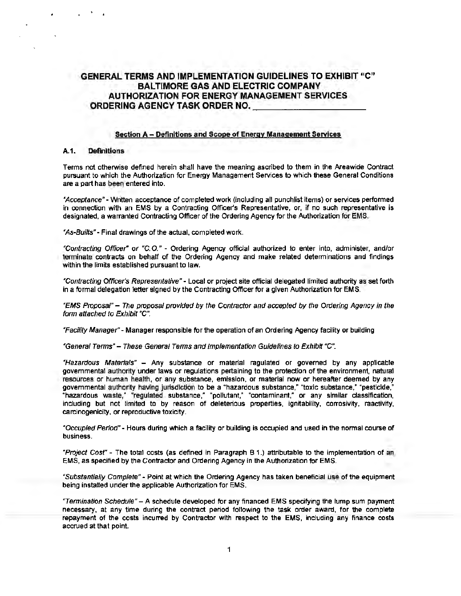# GENERAL TERMS AND IMPLEMENTATION GUIDELINES TO EXHIBIT "C" BALTIMORE GAS AND ELECTRIC COMPANY AUTHORIZATION FOR ENERGY MANAGEMENT SERVICES ORDERING AGENCY TASK ORDER NO.--------

#### Section A- Definitions and Scope of Energy Management Services

#### A.1. Definitions

Terms not otherwise defined herein shall have the meaning ascribed to them in the Areawide Contract pursuant to which the Authorization for Energy Management Services to which these General Conditions are a part has been entered into.

\*Acceptance" - Written acceptance of completed work (including all punchlist items) or services performed in connection with an EMS by a Contracting Officer's Representative, or, if no such representative is designated, a warranted Contracting Officer of the Ordering Agency for the Authorization for EMS.

"As-Builts" - Final drawings of the actual, completed work.

"Contracting Officer" or "C.O." - Ordering Agency official authorized to enter into, administer, and/or terminate contracts on behalf of the Ordering Agency and make related determinations and findings within the limits established pursuant to law.

"Contracting Officer's Representative" - Local or project site official delegated limited authority as set forth in a formal delegation letter signed by the Contracting Officer for a given Authorization for EMS.

"EMS Proposal" - The proposal provided by the Contractor and accepted by the Ordenng Agency in the form attached to Exhibit "C".

"Facility Manager" - Manager responsible for the operation of an Ordering Agency facility or building.

"General Terms"- These General Terms and Implementation Guidelines to Exhibit "C".

"Hazardous Materials" - Any substance or material regulated or governed by any applicable governmental authority under laws or regulations pertaining to the protection of the environment, natural resources or human health, or any substance, emission, or material now or hereafter deemed by any governmental authority having jurisdiction to be a "hazardous substance," "toxic substance," "pesticide," "hazardous waste,• "regulated substance," "pollutant," "contaminant," or any similar classification, including but not limited to by reason of deleterious properties, ignitability, corrosivity, reactivity, carcinogenicity. or reproductive toxicity.

"Occupied Period"- Hours during which a facility or building is occupied and used in the normal course of business.

"Project Cost" - The total costs (as defined in Paragraph B 1.) attributable to the implementation of an EMS, as specified by the Contractor and Ordering Agency in the Authorization for EMS.

"Substantially Complete" - Point at which the Ordering Agency has taken beneficial use of the equipment being installed under the applicable Authorization for EMS.

"Termination Schedule"- A schedule developed for any financed EMS specifying the lump sum payment necessary, at any time during the contract period following the task order award, for the complete repayment of the costs incurred by Contractor with respect to the EMS, including any finance costs accrued at that point.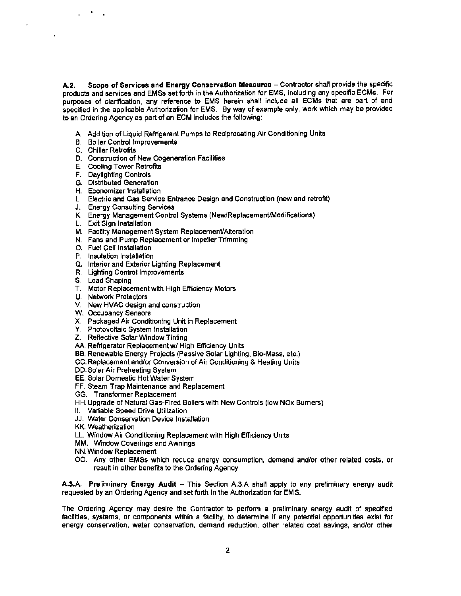A.2. Scope of Services and Energy Conservation Measures - Contractor shall provide the specific products and services and EMSs set forth in the Authorization for EMS, including any specific ECMs. For purposes of clarification, any reference to EMS herein shall include all ECMs that are part of and specified in the applicable Authorization for EMS. By way of example only, work which may be provided to an Ordering Agency as part of an ECM includes the following:

- A. Addition of Liquid Refrigerant Pumps to Reciprocating Air Conditioning Units
- B. Boiler Control Improvements
- C. Chiller Retrofits

..

- D. Construction of New Cogeneration Facilities
- E. Cooling Tower Retrofits
- F. Daylighting Controls
- G. Distributed Generation
- H. Economizer Installation
- I. Electric and Gas Service Entrance Design and Construction (new and retrofit)
- J. Energy Consulting Services
- K. Energy Management Control Systems (New/Replacement/Modifications)
- L. Exit Sign Installation
- M. Facility Management System Replacement/Alteration
- N. Fans and Pump Replacement or Impeller Trimming
- O. Fuel Cell Installation
- P. Insulation Installation
- Q. Interior and Exterior Lighting Replacement
- R. Lighting Control Improvements
- S. Load Shaping
- T. Motor Replacement with High Efficiency Motors
- U. Network Protectors
- V. New HVAC design and construction
- W. Occupancy Sensors
- X. Packaged Air Conditioning Unit in Replacement
- Y. Photovoltaic System Installation
- Z. Reflective Solar Window Tinting
- AA. Refrigerator Replacement w/ High Efficiency Units
- BB. Renewable Energy Projects (Passive Solar Lighting, Bio-Mass, etc.)
- CC. Replacement and/or Conversion of Air Conditioning & Heating Units
- DD.Solar Air Preheating System
- EE. Solar Domestic Hot Water System
- FF. steam Trap Maintenance and Replacement
- GG. Transfonner Replacement
- HH. Upgrade of Natural Gas-Fired Boilers with New Controls (low NOx Burners)
- II. Variable Speed Drive Utilization
- JJ. Water Conservation Device Installation
- KK. Weatherization
- LL. Window Air Conditioning Replacement with High Efficiency Units
- MM. Window Coverings and Awnings
- NN. Window Replacement
- 00. Any other EMSs which reduce energy consumption, demand and/or other related costs, or result in other benefits to the Ordering Agency

A.3.A. Preliminary Energy Audit - This Section A.3.A shall apply to any preliminary energy audit requested by an Ordering Agency and set forth in the Authorization for EMS.

The Ordering Agency may desire the Contractor to perfonn a preliminary energy audit of specified facilities, systems, or components within a facility, to determine if any potential opportunities exist for energy conservation, water conservation, demand reduction, other related cost savings, and/or other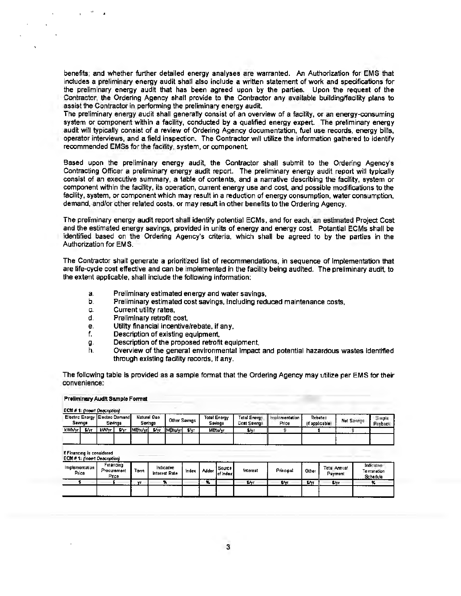benefits; and whether further detailed energy analyses are warranted. An Authorization for EMS that includes a preliminary energy audit shall also include a written statement of work and specifications for the preliminary energy audit that has been agreed upon by the parties. Upon the request of the Contractor, the Ordering Agency shall provide to the Contractor any available building/facility plans to assist the Contractor in performing the preliminary energy audit.

The preliminary energy audit shall generally consist of an overview of a facility, or an energy-consuming system or component within a facility, conducted by a qualified energy expert. The preliminary energy audit will typically consist of a review of Ordering Agency documentation, fuel use records, energy bills, operator interviews, and a field inspection. The Contractor will utilize the information gathered to identify recommended EMSs for the facility, system, or component.

Based upon the preliminary energy audit, the Contractor shall submit to the Ordering Agency's Contracting Officer a preliminary energy audit report. The preliminary energy audit report will typically consist of an executive summary, a table of contents, and a narrative describing the facility, system or component within the facility, its operation, current energy use and cost, and possible modifications to the facility, system, or component which may result in a reduction of energy consumption, water consumption. demand, and/or other related costs, or may result in other benefits to the Ordering Agency.

The preliminary energy audit report shall identify potential ECMs, and for each, an estimated Project Cost and the estimated energy savings, provided in units of energy and energy cost. Potential ECMs shall be identified based on the Ordering Agency's criteria, which shall be agreed to by the parties in the Authorization for EMS.

The Contractor shall generate a prioritized list of recommendations, in sequence of implementation that are life-cycle cost effective and can be implemented in the facility being audited. The preliminary audit, to the extent applicable, shall include the following information:

- a. Preliminary estimated energy and water sayings,
- b. Preliminary estimated cost savings, including reduced maintenance costs,
- c. Current utility rates,
- d. Preliminary retrofit cost,
- e. Utility financial incentive/rebate, if any,
- f. Description of existing equipment,
- g. Description of the proposed retrofit equipment,
- h. Overview of the general environmental impact and potential hazardous wastes identified through existing facllity records, if any.

The following table is provided as a sample format that the Ordering Agency may utilize per EMS for their convenience:

#### Preliminary Audit Sample Format

EC11 # 1: /ineart Description]

| Savings |       | .<br>Electric Energy Electric Demand<br>Savings |     | Natural Gas<br>Savings |             | Total Energy<br><b>Other Savings</b><br>Savings |      | <b>Total Energy</b><br>molementation<br>Price<br><b>Cost Savings</b> |          | Rebate<br>(if applicable) | Net Savings | Simple<br>Payback |  |
|---------|-------|-------------------------------------------------|-----|------------------------|-------------|-------------------------------------------------|------|----------------------------------------------------------------------|----------|---------------------------|-------------|-------------------|--|
| kWh/vr  | \$/vr | <b>kVV/vr</b>                                   | t.v | <b>IMBtu/vri</b>       | <b>Sive</b> | <b>M</b> Btu/vrl                                | 5/yr | <b>MBtu/vr</b>                                                       | S/vr     |                           |             | ------ -          |  |
| -----   |       |                                                 |     |                        |             |                                                 |      |                                                                      | -------- |                           |             |                   |  |

If Financing is considered

| <b>ECM #1: [Insert Description]</b> |                                   |      |                                      |       |       |                          |          |           |       |                                |                                       |
|-------------------------------------|-----------------------------------|------|--------------------------------------|-------|-------|--------------------------|----------|-----------|-------|--------------------------------|---------------------------------------|
| Implementation<br>Price             | Financina<br>Procurament<br>Price | Term | Indicative<br>Interest Rate<br>----- | Index | Adder | l Source I<br>lof Indexi | Interest | Principal | Other | <b>Total Annual</b><br>Payment | Indicative<br>Termination<br>Schedule |
|                                     |                                   | 1.25 |                                      |       | -76   |                          | 5/41     | S٧Ι       | ¥γ    | \$/vr                          | x                                     |
|                                     | -------                           |      |                                      |       |       |                          |          |           |       |                                |                                       |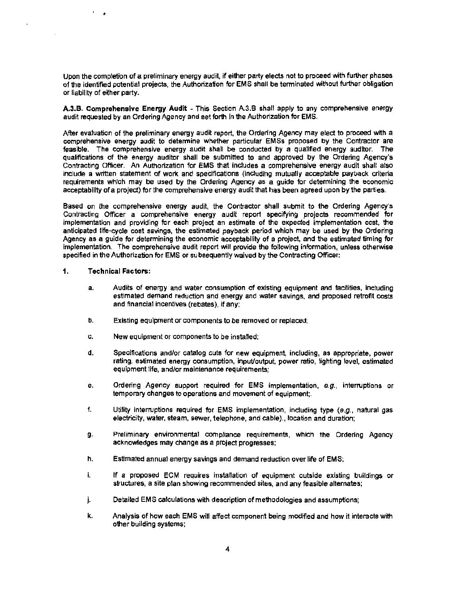Upon the completion of a preliminary energy audit, if either party elects not to proceed with further phases of the identified potential projects, the Authorization for EMS shall be terminated without further obligation or liability of either party.

A.3.B. Comprehensive Energy Audit - This Section A.3.B shall apply to any comprehensive energy audit requested by an Ordering Agency and set forth in the Authorization for EMS.

After evaluation of the preliminary energy audit report, the Ordering Agency may elect to proceed with a comprehensive energy audit to determine whether particular EMSs proposed by the Contractor are feasible. The comprehensive energy audit shall be conducted by a qualified energy auditor. The qualifications of the energy auditor shall be submitted to and approved by the Ordering Agency's Contracting Officer. An Authorization for EMS that includes a comprehensive energy audit shall also include a written statement of work and specifications (including mutually acceptable payback criteria requirements which may be used by the Ordering Agency as a guide for determining the economic acceptability of a project) for the comprehensive energy audit that has been agreed upon by the parties.

Based on the comprehensive energy audit, the Contractor shall submit to the Ordering Agency's Contracting Officer a comprehensive energy audit report specifying projects recommended for implementation and providing for each project an estimate of the expected implementation cost, the anticipated life-cycle cost savings, the estimated payback period which may be used by the Ordering Agency as a guide for determining the economic acceptability of a project, and the estimated timing for implementation. The comprehensive audit report will provide the following information, unless otherwise specified in the Authorization for EMS or subsequently waived by the Contracting Officer:

#### 1. Technical Factors:

 $\overline{\phantom{a}}$ 

- a. Audits of energy and water consumption of existing equipment and facilities, including estimated demand reduction and energy and water savings. and proposed retrofit costs and financial incentives (rebates), if any;
- b. Existing equipment or components to be removed or replaced;
- c. New equipment or components to be installed:
- d. Specifications and/or catalog cuts for new equipment, including, as appropriate, power rating, estimated energy consumption, input/output, power ratio, lighting level, estimated equipment life, and/or maintenance requirements;
- e. Ordering Agency support required for EMS implementation,  $e.g.,$  interruptions or temporary changes to operations and movement of equipment;.
- f. Utility interruptions required for EMS implementation, including type  $(e.g.,$  natural gas electricity, water, steam, sewer, telephone, and cable)., location and duration;
- g. Preliminary environmental compliance requirements, which the Ordering Agency acknowledges may change as a project progresses;
- h. Estimated annual energy savings and demand reduction over life of EMS;
- i. **If a proposed ECM requires installation of equipment outside existing buildings or** structures, a site plan showing recommended sites, and any feasible alternates;
- j. Detailed EMS calculations with description of methodologies and assumptions;
- k. Analysis of how each EMS will affect component being modified and how it interacts with other building systems;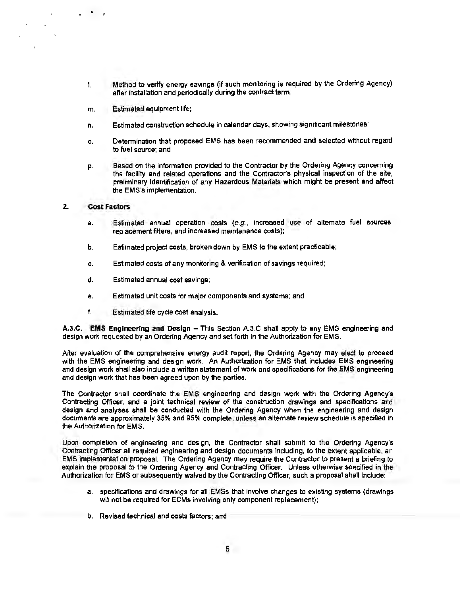- I. Method to verify energy savings (if such monitoring is required by the Ordering Agency) after installation and periodically during the contract term;
- m. Estimated equipment life;
- n. Estimated construction schedule in calendar days, showing significant milestones;
- o. Determination that proposed EMS has been recommended and selected without regard to fuel source; and
- p. Based on the information provided to the Contractor by the Ordering Agency concerning the facility and related operations and the Contractor's physical inspection of the site, preliminary identification of any Hazardous Materials which might be present and affect the EMS's implementation.

#### 2. Cost Factors

..

- a. Estimated annual operation costs  $(e.g.,$  increased use of alternate fuel sources replacement filters, and increased maintenance costs);
- b. Estimated project costs, broken down by EMS to the extent practicable;
- c. Estimated costs of any monitoring & verification of savings required;
- d. Estimated annual cost savings;
- e. Estimated unit costs for major components and systems; and
- f. Estimated life cycle cost analysis.

A.3.C. **EMS** Engineering and Design- This Section A.3.C shall apply to any EMS engineering and design work requested by an Ordering Agency and set forth in the Authorization for EMS.

After evaluation of the comprehensive energy audit report, the Ordering Agency may elect to proceed with the EMS engineering and design work. An Authorization for EMS that includes EMS engineering and design work shall also include a written statement of work and specifications for the EMS engineering and design work that has been agreed upon by the parties.

The Contractor shall coordinate the EMS engineering and design work with the Ordering Agency's Contracting Officer, and a joint technical review of the construction drawings and specifications and design and analyses shall be conducted with the Ordering Agency when the engineering and design documents are approximately 35% and 95% complete, unless an alternate review schedule is specified in the Authorization for EMS.

Upon completion of engineering and design, the Contractor shall submit to the Ordering Agency's Contracting Officer all required engineering and design documents including, to the extent applicable, an EMS implementation proposal. The Ordering Agency may require the Contractor to present a briefing to explain the proposal to the Ordering Agency and Contracting Officer. Unless otherwise specified in the Authorization for EMS or subsequently waived by the Contracting Officer, such a proposal shall include:

- a. specifications and drawings for all EMSs that involve changes to existing systems (drawings will not be required for ECMs involving only component replacement);
- b. Revised technical and costs factors; and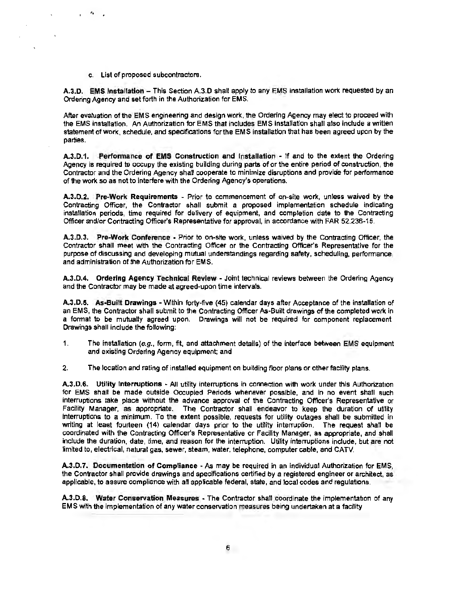c. List of proposed subcontractors.

'•

A.3.D. EMS Installation - This Section A.3.D shall apply to any EMS installation work requested by an Ordering Agency and set forth in the Authorization for EMS.

After evaluation of the EMS engineering and design work, the Ordering Agency may elect to proceed with the EMS installation. An Authorization for EMS that includes EMS installation shall also include a written statement ofwork, schedule, and specifications for the EMS installation that has been agreed upon by the parties.

A.3.0.1. Performance of EMS Construction and Installation - If and to the extent the Ordering Agency is required to occupy the existing building during parts of or the entire period of construction, the Contractor and the Ordering Agency shall cooperate to minimize disruptions and provide for performance of the work so as not to interfere with the Ordering Agency's operations.

A.3.D.2. Pre-Work Requirements - Prior to commencement of on-site work, unless waived by the Contracting Officer, the Contractor shall submit a proposed implementation schedule indicating installation periods, time required for delivery of equipment, and completion date to the Contracting Officer and/or Contracting Officer's Representative for approval, in accordance with FAR 52.236-15.

A.3.D.3. Pre-Work Conference • Prior to on-site work, unless waived by the Contracting Officer, the Contractor shall meet with the Contracting Officer or the Contracting Officer's Representative for the purpose of discussing and developing mutual understandings regarding safety, scheduling, performance, and administration of the Authorization for EMS.

A.3.D.4. Ordering Agency Technical Review - Joint technical reviews between the Ordering Agency and the Contractor may be made at agreed-upon time intervals.

A.3.D.5. As-Built Drawings -Within forty-five (45) calendar days after Acceptance of the installation of an EMS, the Contractor shall submit to the Contracting Officer As-Built drawings of the completed work in a format to be mutually agreed upon. Drawings will not be required for component replacement Drawings shall include the following:

- 1. The installation (e.g., form, fit, and attachment details) of the interface between EMS equipment and existing Ordering Agency equipment; and
- 2. The location and rating of installed equipment on building floor plans or other facility plans.

A.3.D.6. Utility Interruptions - All utility interruptions in connection with work under this Authorization for EMS shall be made outside Occupied Periods whenever possible, and in no event shall such interruptions take place without the advance approval of the Contracting Officer's Representative or Facility Manager, as appropriate. The Contractor shall endeavor to keep the duration of utility interruptions to a minimum. To the extent possible, requests for utility outages shall be submitted in writing at least fourteen (14) calendar days prior to the utility interruption. The request shall be coordinated with the Contracting Officer's Representative or Facility Manager, as appropriate, and shall include the duration. date, time, and reason for the interruption. Utility interruptions include, but are not limited to, electrical, natural gas, sewer, steam, water. telephone, computer cable, and CATV.

A.3.D.7. Documentation of Compliance - As may be required in an individual Authorization for EMS, the Contractor shall provide drawings and specifications certified by a registered engineer or architect, as applicable, to assure compliance with all applicable federal, state, and local codes and regulations.

A.3.D.8. Water Conservation Measures ·The Contractor shall coordinate the implementation of any EMS with the implementation of any water conservation measures being undertaken at a facility.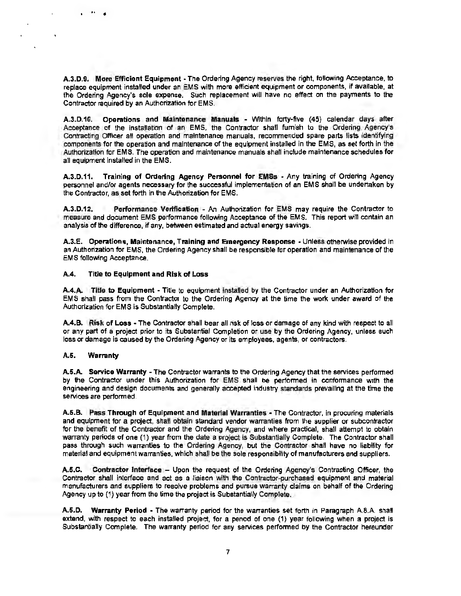A.3.D.9. More Efficient Equipment • The Ordering Agency reserves the right, following Acceptance, to replace equipment installed under an EMS with more efficient equipment or components, if available, at the Ordering Agency's sole expense. Such replacement will have no effect on the payments to the Contractor required by an Authorization for EMS.

A.3.D.10. Operations and Maintenance Manuals - Within forty-five (45) calendar days after Acceptance of the installation of an EMS, the Contractor shall furnish to the Ordering Agency's Contracting Officer al! operation and maintenance manuals, recommended spare parts lists identifying components for the operation and maintenance of the equipment installed in the EMS, as set forth in the Authorization for EMS. The operation and maintenance manuals shall include maintenance schedules for all equipment installed in the EMS.

A.3.D.11. Training of Ordering Agency Personnel for EMSs • Any training of Ordering Agency personnel and/or agents necessary for the successful implementation of an EMS shall be undertaken by the Contractor, as set forth in the Authorization for EMS.

A.3.D.12. Performance Verification - An Authorization for EMS may require the Contractor to measure and document EMS performance following Acceptance of the EMS. This report will contain an analysis of the difference, if any, between estimated and actual energy savings.

A.3.E. Operations, Maintenance, Training and Emergency Response - Unless otherwise provided in an Authorization for EM S, the Ordering Agency shall be responsible for operation and maintenance of the EMS following Acceptance.

#### A.4. TitJe to Equipment and Risk of Loss

A.4.A. Title to Equipment - Title to equipment installed by the Contractor under an Authorization for EMS shall pass from the Contractor to the Ordering Agency at the time the work under award of the Authorization for EMS is Substantially Complete.

A.4.B. Risk of Loss • The Contractor shall bear all risk of loss or damage of any kind with respect to all or any part of a project prior to its Substantial Completion or use by the Ordering Agency, unless such loss or damage is caused by the Ordering Agency or Its employees, agents, or contractors.

#### A.5. Warranty

•• •

A.5.A. Service Warranty -The Contractor warrants to the Ordering Agency that the services performed by the Contractor under this Authorization for EMS shall be performed in conformance with the engineering and design documents and generally accepted industry standards prevailing at the time the services are performed.

A.5.B. Pass Through of Equipment and Material Warranties· The Contractor, in procuring materials and equipment for a project, shall obtain standard vendor warranties from the supplier or subcontractor for the benefit of the Contractor and the Ordering Agency, and where practical, shall attempt to obtain warranty periods of one (1) year from the date a project is Substantially Complete. The Contractor shall pass through such warranties to the Ordering Agency, but the Contractor shall have no liability for material and equipment warranties. which shall be the sole responsibility of manufacturers and suppliers.

A.5.C. Contractor Interface - Upon the request of the Ordering Agency's Contracting Officer, the Contractor shall interface and act as a liaison with the Contractor-purchased equipment and material manufacturers and suppliers to resolve problems and pursue warranty claims on behalf of the Ordering Agency up to (1) year from the time the project is Substantially Complete.

A.5.D. Warranty Period - The warranty period for the warranties set forth in Paragraph A.8.A. shall extend, with respect to each installed project, for a period of one (1) year following when a project is Substantially Complete. The warranty period for any services performed by the Contractor hereunder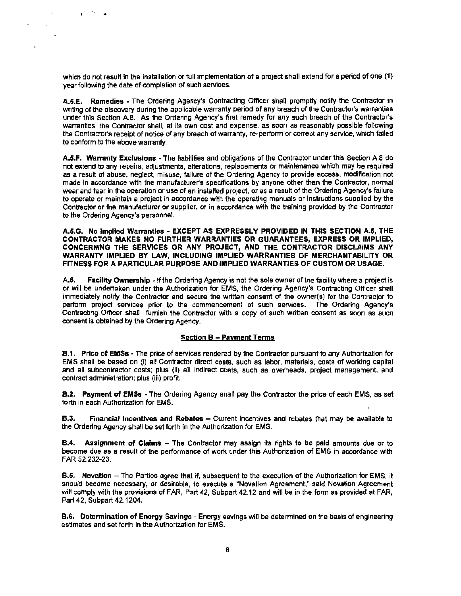which do not result in the installation or full implementation of a project shall extend for a period of one (1) year following the date of completion of such services.

'•• ..

 $\ddot{\phantom{a}}$ 

 $\ddot{\phantom{a}}$ 

 $\overline{a}$ 

 $\ddot{\phantom{a}}$ 

A.5.E. Remedies - The Ordering Agency's Contracting Officer shall promptly notify the Contractor in writing of the discovery during the applicable warranty period of any breach of the Contractor's warranties under this Section A.8. As the Ordering Agency's first remedy for any such breach of the Contractor's warranties, the Contractor shall, at its own cost and expense, as soon as reasonably possible following the Contractor's receipt of notice of any breach of warranty, re-perform or correct any service, which failed to conform to the above warranty.

A.5.F. Warranty Exclusions -The liabilities and obligations of the Contractor under this Section A.8 do not extend to any repairs, adjustments, alterations, replacements or maintenance which may be required as a result of abuse, neglect, misuse, failure of the Ordering Agency to provide access, modification not made in accordance with the manufacturer's specifications by anyone other than the Contractor, normal wear and tear in the operation or use of an installed project, or as a result of the Ordering Agency's failure to operate or maintain a project in accordance with the operating manuals or instructions supplied by the Contractor or the manufacturer or supplier, or in accordance with the training provided by the Contractor to the Ordering Agency's personnel.

A.5.G. No Implied Warranties· EXCEPT AS EXPRESSLY PROVIDED IN THIS SECTION A.5, THE CONTRACTOR MAKES NO FURTHER WARRANTIES OR GUARANTEES, EXPRESS OR IMPLIED, CONCERNING THE SERVICES OR ANY PROJECT, AND THE CONTRACTOR DISCLAIMS ANY WARRANTY IMPLIED BY LAW, INCLUDING IMPLIED WARRANTIES OF MERCHANTABILITY OR FITNESS FOR A PARTICULAR PURPOSE AND IMPLIED WARRANTIES OF CUSTOM OR USAGE.

A.6. Facility Ownership - If the Ordering Agency is not the sole owner of the facility where a project is or will be undertaken under the Authorization for EMS, the Ordering Agency's Contracting Officer shall immediately notify the Contractor and secure the written consent of the owner(s) for the Contractor to perform project services prior to the commencement of such services. The Ordering Agency's Contracting Officer shall fumish the Contractor with a copy of such written consent as soon as such consent is obtained by the Ordering Agency.

#### Section B - Payment Terms

8.1. Price of EMSs - The price of services rendered by the Contractor pursuant to any Authorization for EMS shall be based on (i) all Contractor direct costs, such as labor, materials, costs of working capital and all subcontractor costs; plus (ii) all indirect costs, such as overheads, project management, and contract administration; plus (iii) profit.

8.2. Payment of EMSs - The Ordering Agency shall pay the Contractor the price of each EMS, as set forth in each Authorization for EMS.

**B.3.** Financial Incentives and Rebates - Current incentives and rebates that may be available to the Ordering Agency shall be set forth in the Authorization for EMS.

**B.4.** Assignment of Claims – The Contractor may assign its rights to be paid amounts due or to become due as a result of the performance of work under this Authorization of EMS in accordance with FAR 52.232-23.

B.5. Novation - The Parties agree that if, subsequent to the execution of the Authorization for EMS, it should become necessary, or desirable, to execute a "Novation Agreement," said Novation Agreement will comply with the provisions of FAR, Part 42, Subpart 42.12 and will be in the form as provided at FAR, Part 42, Subpart 42.1204.

8.6. Determination of Energy Savings -Energy savings will be determined on the basis of engineering estimates and set forth in the Authorization for EMS.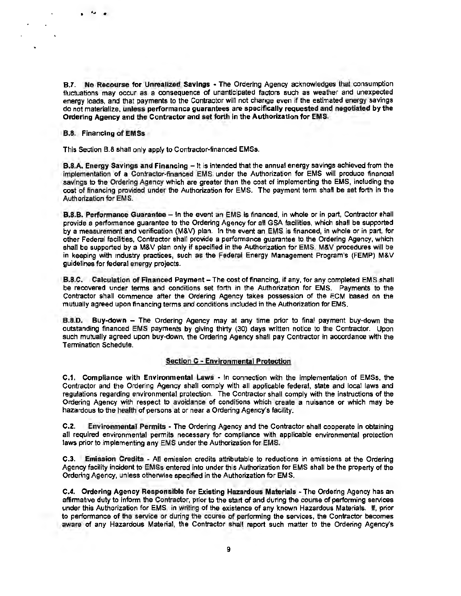8.7. No Recourse for Unrealized Savings ·The Ordering Agency acknowledges that consumption fluctuations may occur as a consequence of unanticipated factors such as weather and unexpected energy loads, and that payments to the Contractor will not change even if the estimated energy savings do not materialize, unless performance guarantees are specifically requested and negotiated by the Ordering Agency and the Contractor and set forth in the Authorization for EMS.

8.8. Financing of EMSs

. . . .  $\mathbb{R}^2$ 

This Section 8.8 shall only apply to Contractor-financed EMSs.

8.8.A. Energy Savings and Financing - It is intended that the annual energy savings achieved from the implementation of a Contractor-financed EMS under the Authorization for EMS will produce financial savings to the Ordering Agency which are greater than the cost of implementing the EMS, including the cost of financing provided under the Authorization for EMS. The payment term shall be set forth in the Authorization for EMS.

8.8.8. Performance Guarantee - In the event an EMS Is financed, in whole or in part, Contractor shall provide a performance guarantee to the Ordering Agency for all GSA facilities, which shall be supported by a measurement and verification (M&V) plan. In the event an EMS is financed, in whole or in part, for other Federal facilities, Contractor shall provide a performance guarantee to the Ordering Agency, which shall be supported by a M&V plan only if specified in the Authorization for EMS. M&V procedures will be in keeping with industry practices, such as the Federal Energy Management Program's (FEMP) M&V guidelines for federal energy projects.

B.8.C. Calculation of Financed Payment - The cost of financing, if any, for any completed EMS shall be recovered under terms and conditions set forth in the Authorization for EMS. Payments to the Contractor shall commence after the Ordering Agency takes possession of the ECM based on the mutually agreed upon financing terms and conditions included in the Authorization for EMS.

**B.8.D.** Buy-down - The Ordering Agency may at any time prior to final payment buy-down the outstanding financed EMS payments by giving thirty (30) days written notice to the Contractor. Upon such mutually agreed upon buy-down, the Ordering Agency shall pay Contractor in accordance with the Termination Schedule.

#### Section C • Environmental Protection

C.1. Compliance with Environmental Laws - In connection with the Implementation of EMSs, the Contractor and the Ordering Agency shall comply with all applicable federal, state and local laws and regulations regarding environmental protection. The Contractor shall comply with the instructions of the Ordering Agency with respect to avoidance of conditions which create a nuisance or which may be hazardous to the health of persons at or near a Ordering Agency's facility.

C.2. Environmental Permits • The Ordering Agency and the Contractor shall cooperate in obtaining all required environmental permits necessary for compliance with applicable environmental protection laws prior to implementing any EMS under the Authorization for EMS.

C.J. Emission Credits - All emission credits attributable to reductions in emissions at the Ordering Agency facility incident to EMSs entered into under this Authorization for EMS shall be the property of the Ordering Agency, unless otherwise specified in the Authorization for EMS.

C.4. Ordering Agency Responsible for Existing Hazardous Materials - The Ordering Agency has an affirmative duty to inform the Contractor, prior to the start of and during the course of performing services under this Authorization for EMS, in writing of the existence of any known Hazardous Materials. If, prior to performance of the service or during the course of performing the services, the Contractor becomes aware of any Hazardous Material, the Contractor shall report such matter to the Ordering Agency's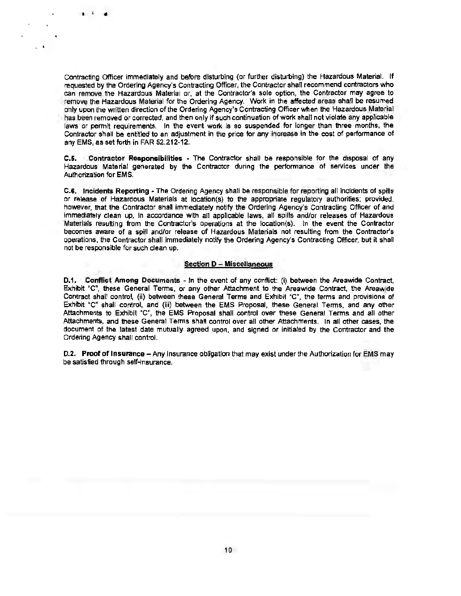Contracting Officer immediately and before disturbing (or further disturbing) the Hazardous Material. If requested by the Ordering Agency's Contracting Officer, the Contractor shall recommend contractors who can remove the Hazardous Material or, at the Contractor's sole option, the Contractor may agree to remove the Hazardous Material for the Ordering Agency. Work in the affected areas shall be resumed only upon the written direction of the Ordering Agency's Contracting Officer when the Hazardous Material has been removed or corrected, and then only if such continuation of work shall not violate any applicable laws or permit requirements. In the event work is so suspended for longer than three months, the Contractor shall be entitled to an adjustment in the price for any increase in the cost of performance of any EMS, as set forth in FAR 52.212-12.

 $\blacksquare$ 

. .

C.S. Contractor Responsibilities • The Contractor shall be responsible for the disposal of any Hazardous Material generated by the Contractor during the performance of services under the Authorization for EMS.

C.6. Incidents Reporting - The Ordering Agency shall be responsible for reporting all incidents of spills or release of Hazardous Materials at location(s) to the appropriate regulatory authorities: provided, however, that the Contractor shall immediately notify the Ordering Agency's Contracting Officer of and Immediately clean up, in accordance with all applicable laws, all spills and/or releases of Hazardous Materials resulting from the Contractor's operations at the location(s). In the event the Contractor becomes aware of a spill and/or release of Hazardous Materials not resulting from the Contractor's operations, the Contractor shall immediately notify the Ordering Agency's Contracting Officer, but it shall not be responsible for such clean up.

#### Section D - Miscellaneous

0.1. Conflict Among Documents - In the event of any conflict: (i) between the Areawide Contract, Exhibit "C", these General Terms, or any other Attachment to the Areawide Contract, the Areawide Contract shall control, (ii) between these General Terms and Exhibit "C", the terms and provisions of Exhibit "C" shall control, and (iii) between the EMS Proposal, these General Terms, and any other Attachments to Exhibit "C", the EMS Proposal shall control over these General Terms and all other Attachments, and these General Terms shall control over all other Attachments. In all other cases, the document of the latest date mutually agreed upon, and signed or initialed by the Contractor and the Ordering Agency shall control.

0.2. Proof of Insurance- Any insurance obligation that may exist under the Authorization for EMS may be satisfied through self-insurance.